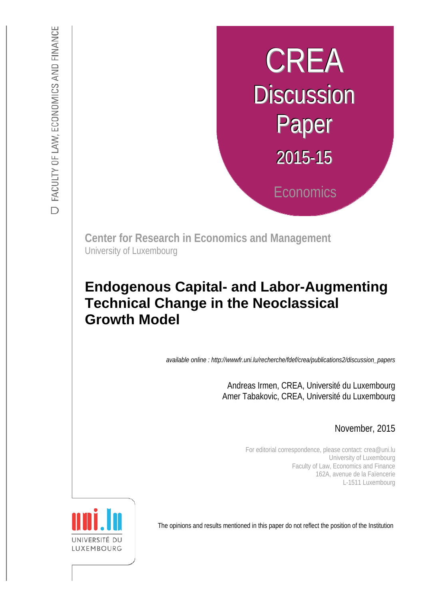# **CREA Discussion** Paper  $2015 - 15$ **Economics**

**Center for Research in Economics and Management** University of Luxembourg

## :s *def.uni.lu/index.php/fdef\_FR/economie/crea*  **Endogenous Capital- and Labor-Augmenting Technical Change in the Neoclassical Growth Model**

*available online : http://wwwfr.uni.lu/recherche/fdef/crea/publications2/discussion\_papers* 

 Amer Tabakovic, CREA, Université du Luxembourg Andreas Irmen, CREA, Université du Luxembourg

November, 2015

For editorial correspondence, please contact: crea@uni.lu University of Luxembourg Faculty of Law, Economics and Finance 162A, avenue de la Faïencerie L-1511 Luxembourg

The opinions and results mentioned in this paper do not reflect the position of the Institution

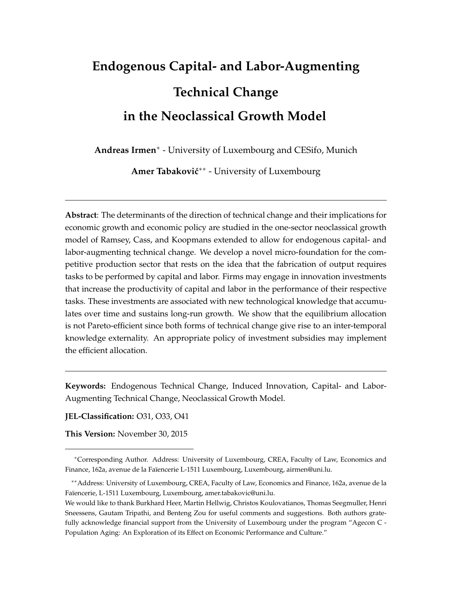## **Endogenous Capital- and Labor-Augmenting Technical Change in the Neoclassical Growth Model**

**Andreas Irmen**<sup>∗</sup> - University of Luxembourg and CESifo, Munich

**Amer Tabaković**<sup>∗</sup> - University of Luxembourg

**Abstract**: The determinants of the direction of technical change and their implications for economic growth and economic policy are studied in the one-sector neoclassical growth model of Ramsey, Cass, and Koopmans extended to allow for endogenous capital- and labor-augmenting technical change. We develop a novel micro-foundation for the competitive production sector that rests on the idea that the fabrication of output requires tasks to be performed by capital and labor. Firms may engage in innovation investments that increase the productivity of capital and labor in the performance of their respective tasks. These investments are associated with new technological knowledge that accumulates over time and sustains long-run growth. We show that the equilibrium allocation is not Pareto-efficient since both forms of technical change give rise to an inter-temporal knowledge externality. An appropriate policy of investment subsidies may implement the efficient allocation.

**Keywords:** Endogenous Technical Change, Induced Innovation, Capital- and Labor-Augmenting Technical Change, Neoclassical Growth Model.

**JEL-Classification:** O31, O33, O41

**This Version:** November 30, 2015

<sup>∗</sup>Corresponding Author. Address: University of Luxembourg, CREA, Faculty of Law, Economics and Finance, 162a, avenue de la Faïencerie L-1511 Luxembourg, Luxembourg, airmen@uni.lu.

<sup>∗∗</sup>Address: University of Luxembourg, CREA, Faculty of Law, Economics and Finance, 162a, avenue de la Faïencerie, L-1511 Luxembourg, Luxembourg, amer.tabakovic@uni.lu.

We would like to thank Burkhard Heer, Martin Hellwig, Christos Koulovatianos, Thomas Seegmuller, Henri Sneessens, Gautam Tripathi, and Benteng Zou for useful comments and suggestions. Both authors gratefully acknowledge financial support from the University of Luxembourg under the program "Agecon C - Population Aging: An Exploration of its Effect on Economic Performance and Culture."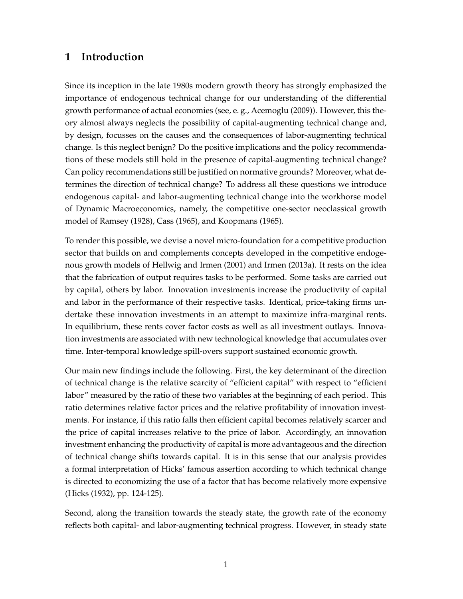## **1 Introduction**

Since its inception in the late 1980s modern growth theory has strongly emphasized the importance of endogenous technical change for our understanding of the differential growth performance of actual economies (see, e. g., Acemoglu (2009)). However, this theory almost always neglects the possibility of capital-augmenting technical change and, by design, focusses on the causes and the consequences of labor-augmenting technical change. Is this neglect benign? Do the positive implications and the policy recommendations of these models still hold in the presence of capital-augmenting technical change? Can policy recommendations still be justified on normative grounds? Moreover, what determines the direction of technical change? To address all these questions we introduce endogenous capital- and labor-augmenting technical change into the workhorse model of Dynamic Macroeconomics, namely, the competitive one-sector neoclassical growth model of Ramsey (1928), Cass (1965), and Koopmans (1965).

To render this possible, we devise a novel micro-foundation for a competitive production sector that builds on and complements concepts developed in the competitive endogenous growth models of Hellwig and Irmen (2001) and Irmen (2013a). It rests on the idea that the fabrication of output requires tasks to be performed. Some tasks are carried out by capital, others by labor. Innovation investments increase the productivity of capital and labor in the performance of their respective tasks. Identical, price-taking firms undertake these innovation investments in an attempt to maximize infra-marginal rents. In equilibrium, these rents cover factor costs as well as all investment outlays. Innovation investments are associated with new technological knowledge that accumulates over time. Inter-temporal knowledge spill-overs support sustained economic growth.

Our main new findings include the following. First, the key determinant of the direction of technical change is the relative scarcity of "efficient capital" with respect to "efficient labor" measured by the ratio of these two variables at the beginning of each period. This ratio determines relative factor prices and the relative profitability of innovation investments. For instance, if this ratio falls then efficient capital becomes relatively scarcer and the price of capital increases relative to the price of labor. Accordingly, an innovation investment enhancing the productivity of capital is more advantageous and the direction of technical change shifts towards capital. It is in this sense that our analysis provides a formal interpretation of Hicks' famous assertion according to which technical change is directed to economizing the use of a factor that has become relatively more expensive (Hicks (1932), pp. 124-125).

Second, along the transition towards the steady state, the growth rate of the economy reflects both capital- and labor-augmenting technical progress. However, in steady state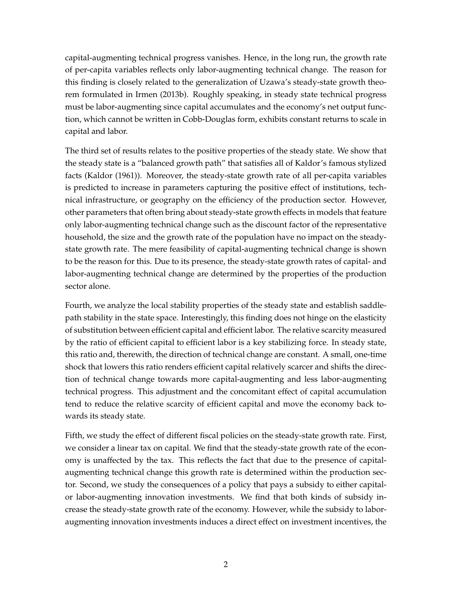capital-augmenting technical progress vanishes. Hence, in the long run, the growth rate of per-capita variables reflects only labor-augmenting technical change. The reason for this finding is closely related to the generalization of Uzawa's steady-state growth theorem formulated in Irmen (2013b). Roughly speaking, in steady state technical progress must be labor-augmenting since capital accumulates and the economy's net output function, which cannot be written in Cobb-Douglas form, exhibits constant returns to scale in capital and labor.

The third set of results relates to the positive properties of the steady state. We show that the steady state is a "balanced growth path" that satisfies all of Kaldor's famous stylized facts (Kaldor (1961)). Moreover, the steady-state growth rate of all per-capita variables is predicted to increase in parameters capturing the positive effect of institutions, technical infrastructure, or geography on the efficiency of the production sector. However, other parameters that often bring about steady-state growth effects in models that feature only labor-augmenting technical change such as the discount factor of the representative household, the size and the growth rate of the population have no impact on the steadystate growth rate. The mere feasibility of capital-augmenting technical change is shown to be the reason for this. Due to its presence, the steady-state growth rates of capital- and labor-augmenting technical change are determined by the properties of the production sector alone.

Fourth, we analyze the local stability properties of the steady state and establish saddlepath stability in the state space. Interestingly, this finding does not hinge on the elasticity of substitution between efficient capital and efficient labor. The relative scarcity measured by the ratio of efficient capital to efficient labor is a key stabilizing force. In steady state, this ratio and, therewith, the direction of technical change are constant. A small, one-time shock that lowers this ratio renders efficient capital relatively scarcer and shifts the direction of technical change towards more capital-augmenting and less labor-augmenting technical progress. This adjustment and the concomitant effect of capital accumulation tend to reduce the relative scarcity of efficient capital and move the economy back towards its steady state.

Fifth, we study the effect of different fiscal policies on the steady-state growth rate. First, we consider a linear tax on capital. We find that the steady-state growth rate of the economy is unaffected by the tax. This reflects the fact that due to the presence of capitalaugmenting technical change this growth rate is determined within the production sector. Second, we study the consequences of a policy that pays a subsidy to either capitalor labor-augmenting innovation investments. We find that both kinds of subsidy increase the steady-state growth rate of the economy. However, while the subsidy to laboraugmenting innovation investments induces a direct effect on investment incentives, the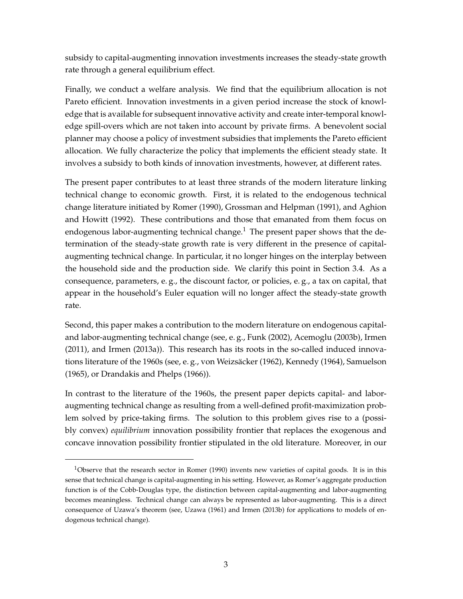subsidy to capital-augmenting innovation investments increases the steady-state growth rate through a general equilibrium effect.

Finally, we conduct a welfare analysis. We find that the equilibrium allocation is not Pareto efficient. Innovation investments in a given period increase the stock of knowledge that is available for subsequent innovative activity and create inter-temporal knowledge spill-overs which are not taken into account by private firms. A benevolent social planner may choose a policy of investment subsidies that implements the Pareto efficient allocation. We fully characterize the policy that implements the efficient steady state. It involves a subsidy to both kinds of innovation investments, however, at different rates.

The present paper contributes to at least three strands of the modern literature linking technical change to economic growth. First, it is related to the endogenous technical change literature initiated by Romer (1990), Grossman and Helpman (1991), and Aghion and Howitt (1992). These contributions and those that emanated from them focus on endogenous labor-augmenting technical change.<sup>1</sup> The present paper shows that the determination of the steady-state growth rate is very different in the presence of capitalaugmenting technical change. In particular, it no longer hinges on the interplay between the household side and the production side. We clarify this point in Section 3.4. As a consequence, parameters, e. g., the discount factor, or policies, e. g., a tax on capital, that appear in the household's Euler equation will no longer affect the steady-state growth rate.

Second, this paper makes a contribution to the modern literature on endogenous capitaland labor-augmenting technical change (see, e. g., Funk (2002), Acemoglu (2003b), Irmen (2011), and Irmen (2013a)). This research has its roots in the so-called induced innovations literature of the 1960s (see, e.g., von Weizsäcker (1962), Kennedy (1964), Samuelson (1965), or Drandakis and Phelps (1966)).

In contrast to the literature of the 1960s, the present paper depicts capital- and laboraugmenting technical change as resulting from a well-defined profit-maximization problem solved by price-taking firms. The solution to this problem gives rise to a (possibly convex) *equilibrium* innovation possibility frontier that replaces the exogenous and concave innovation possibility frontier stipulated in the old literature. Moreover, in our

<sup>1</sup>Observe that the research sector in Romer (1990) invents new varieties of capital goods. It is in this sense that technical change is capital-augmenting in his setting. However, as Romer's aggregate production function is of the Cobb-Douglas type, the distinction between capital-augmenting and labor-augmenting becomes meaningless. Technical change can always be represented as labor-augmenting. This is a direct consequence of Uzawa's theorem (see, Uzawa (1961) and Irmen (2013b) for applications to models of endogenous technical change).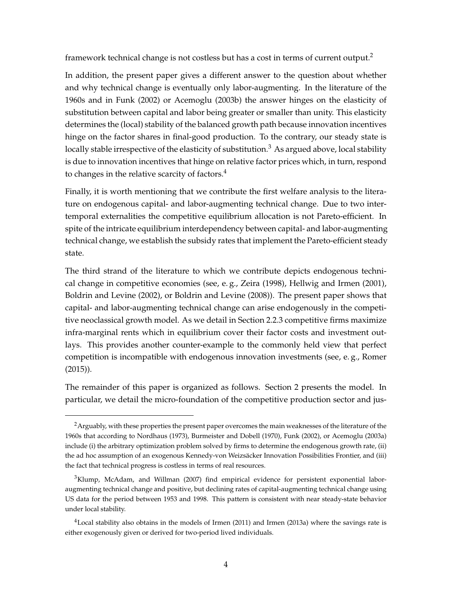framework technical change is not costless but has a cost in terms of current output.<sup>2</sup>

In addition, the present paper gives a different answer to the question about whether and why technical change is eventually only labor-augmenting. In the literature of the 1960s and in Funk (2002) or Acemoglu (2003b) the answer hinges on the elasticity of substitution between capital and labor being greater or smaller than unity. This elasticity determines the (local) stability of the balanced growth path because innovation incentives hinge on the factor shares in final-good production. To the contrary, our steady state is locally stable irrespective of the elasticity of substitution.<sup>3</sup> As argued above, local stability is due to innovation incentives that hinge on relative factor prices which, in turn, respond to changes in the relative scarcity of factors.<sup>4</sup>

Finally, it is worth mentioning that we contribute the first welfare analysis to the literature on endogenous capital- and labor-augmenting technical change. Due to two intertemporal externalities the competitive equilibrium allocation is not Pareto-efficient. In spite of the intricate equilibrium interdependency between capital- and labor-augmenting technical change, we establish the subsidy rates that implement the Pareto-efficient steady state.

The third strand of the literature to which we contribute depicts endogenous technical change in competitive economies (see, e. g., Zeira (1998), Hellwig and Irmen (2001), Boldrin and Levine (2002), or Boldrin and Levine (2008)). The present paper shows that capital- and labor-augmenting technical change can arise endogenously in the competitive neoclassical growth model. As we detail in Section 2.2.3 competitive firms maximize infra-marginal rents which in equilibrium cover their factor costs and investment outlays. This provides another counter-example to the commonly held view that perfect competition is incompatible with endogenous innovation investments (see, e. g., Romer (2015)).

The remainder of this paper is organized as follows. Section 2 presents the model. In particular, we detail the micro-foundation of the competitive production sector and jus-

<sup>&</sup>lt;sup>2</sup>Arguably, with these properties the present paper overcomes the main weaknesses of the literature of the 1960s that according to Nordhaus (1973), Burmeister and Dobell (1970), Funk (2002), or Acemoglu (2003a) include (i) the arbitrary optimization problem solved by firms to determine the endogenous growth rate, (ii) the ad hoc assumption of an exogenous Kennedy-von Weizsäcker Innovation Possibilities Frontier, and (iii) the fact that technical progress is costless in terms of real resources.

 $3$ Klump, McAdam, and Willman (2007) find empirical evidence for persistent exponential laboraugmenting technical change and positive, but declining rates of capital-augmenting technical change using US data for the period between 1953 and 1998. This pattern is consistent with near steady-state behavior under local stability.

<sup>4</sup>Local stability also obtains in the models of Irmen (2011) and Irmen (2013a) where the savings rate is either exogenously given or derived for two-period lived individuals.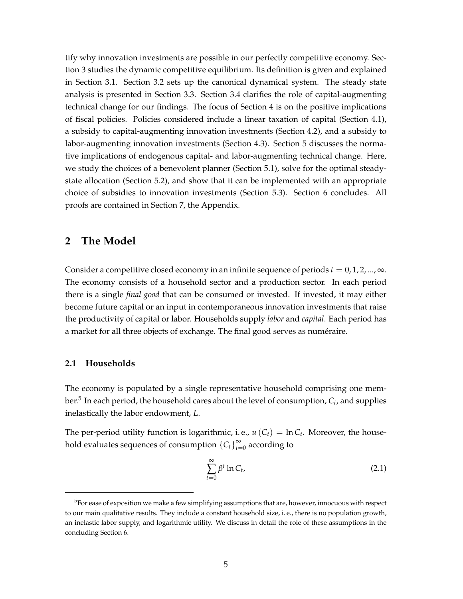tify why innovation investments are possible in our perfectly competitive economy. Section 3 studies the dynamic competitive equilibrium. Its definition is given and explained in Section 3.1. Section 3.2 sets up the canonical dynamical system. The steady state analysis is presented in Section 3.3. Section 3.4 clarifies the role of capital-augmenting technical change for our findings. The focus of Section 4 is on the positive implications of fiscal policies. Policies considered include a linear taxation of capital (Section 4.1), a subsidy to capital-augmenting innovation investments (Section 4.2), and a subsidy to labor-augmenting innovation investments (Section 4.3). Section 5 discusses the normative implications of endogenous capital- and labor-augmenting technical change. Here, we study the choices of a benevolent planner (Section 5.1), solve for the optimal steadystate allocation (Section 5.2), and show that it can be implemented with an appropriate choice of subsidies to innovation investments (Section 5.3). Section 6 concludes. All proofs are contained in Section 7, the Appendix.

## **2 The Model**

Consider a competitive closed economy in an infinite sequence of periods  $t = 0, 1, 2, ..., \infty$ . The economy consists of a household sector and a production sector. In each period there is a single *final good* that can be consumed or invested. If invested, it may either become future capital or an input in contemporaneous innovation investments that raise the productivity of capital or labor. Households supply *labor* and *capital*. Each period has a market for all three objects of exchange. The final good serves as numéraire.

#### **2.1 Households**

The economy is populated by a single representative household comprising one member.<sup>5</sup> In each period, the household cares about the level of consumption, *C<sup>t</sup>* , and supplies inelastically the labor endowment, *L*.

The per-period utility function is logarithmic, i.e.,  $u(C_t) = \ln C_t$ . Moreover, the household evaluates sequences of consumption  $\{ {\mathcal C}_t \}_{t=1}^\infty$  $\sum_{t=0}^{\infty}$  according to

$$
\sum_{t=0}^{\infty} \beta^t \ln C_t, \tag{2.1}
$$

<sup>5</sup>For ease of exposition we make a few simplifying assumptions that are, however, innocuous with respect to our main qualitative results. They include a constant household size, i. e., there is no population growth, an inelastic labor supply, and logarithmic utility. We discuss in detail the role of these assumptions in the concluding Section 6.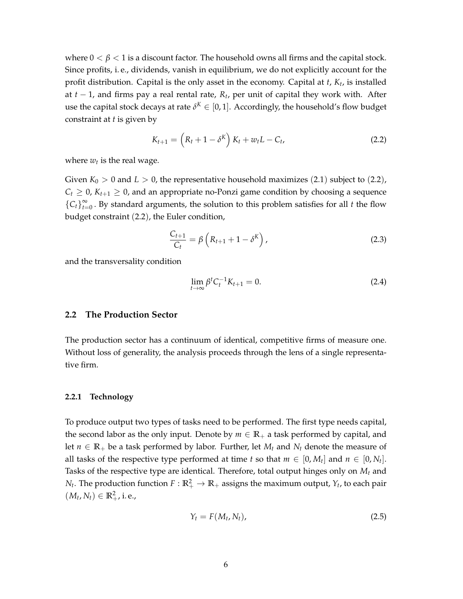where  $0 < \beta < 1$  is a discount factor. The household owns all firms and the capital stock. Since profits, i. e., dividends, vanish in equilibrium, we do not explicitly account for the profit distribution. Capital is the only asset in the economy. Capital at *t*, *K<sup>t</sup>* , is installed at *t* − 1, and firms pay a real rental rate, *R<sup>t</sup>* , per unit of capital they work with. After use the capital stock decays at rate  $\delta^K \in [0,1]$ . Accordingly, the household's flow budget constraint at *t* is given by

$$
K_{t+1} = (R_t + 1 - \delta^K) K_t + w_t L - C_t,
$$
\n(2.2)

where  $w_t$  is the real wage.

Given  $K_0 > 0$  and  $L > 0$ , the representative household maximizes (2.1) subject to (2.2),  $C_t \geq 0$ ,  $K_{t+1} \geq 0$ , and an appropriate no-Ponzi game condition by choosing a sequence  ${C<sub>t</sub>}^{\infty}_{t=0}$  $_{t=0}^{\infty}$  . By standard arguments, the solution to this problem satisfies for all  $t$  the flow budget constraint (2.2), the Euler condition,

$$
\frac{C_{t+1}}{C_t} = \beta \left( R_{t+1} + 1 - \delta^K \right), \tag{2.3}
$$

and the transversality condition

$$
\lim_{t \to \infty} \beta^t C_t^{-1} K_{t+1} = 0. \tag{2.4}
$$

#### **2.2 The Production Sector**

The production sector has a continuum of identical, competitive firms of measure one. Without loss of generality, the analysis proceeds through the lens of a single representative firm.

#### **2.2.1 Technology**

To produce output two types of tasks need to be performed. The first type needs capital, the second labor as the only input. Denote by  $m \in \mathbb{R}_+$  a task performed by capital, and let  $n \in \mathbb{R}_+$  be a task performed by labor. Further, let  $M_t$  and  $N_t$  denote the measure of all tasks of the respective type performed at time *t* so that  $m \in [0, M_t]$  and  $n \in [0, N_t]$ . Tasks of the respective type are identical. Therefore, total output hinges only on *M<sup>t</sup>* and  $N_t$ . The production function  $F:\mathbb{R}_+^2\to\mathbb{R}_+$  assigns the maximum output,  $Y_t$ , to each pair  $(M_t, N_t) \in \mathbb{R}^2_+$ , i.e.,

$$
Y_t = F(M_t, N_t), \tag{2.5}
$$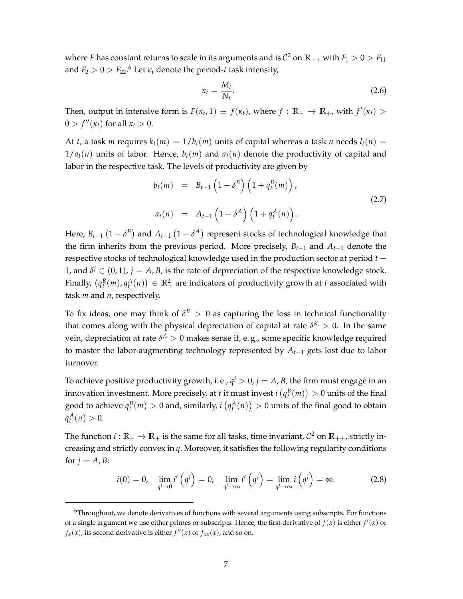where  $F$  has constant returns to scale in its arguments and is  $\mathcal{C}^2$  on  $\mathbb{R}_{++}$  with  $F_1>0>F_{11}$ and  $F_2 > 0 > F_{22}.$ <sup>6</sup> Let  $\kappa_t$  denote the period-*t* task intensity,

$$
\kappa_t = \frac{M_t}{N_t}.\tag{2.6}
$$

Then, output in intensive form is  $F(\kappa_t, 1) \equiv f(\kappa_t)$ , where  $f : \mathbb{R}_+ \to \mathbb{R}_+$ , with  $f'(\kappa_t) >$  $0 > f''(\kappa_t)$  for all  $\kappa_t > 0$ .

At *t*, a task *m* requires  $k_t(m) = 1/b_t(m)$  units of capital whereas a task *n* needs  $l_t(n) =$  $1/a_t(n)$  units of labor. Hence,  $b_t(m)$  and  $a_t(n)$  denote the productivity of capital and labor in the respective task. The levels of productivity are given by

$$
b_t(m) = B_{t-1} \left( 1 - \delta^B \right) \left( 1 + q_t^B(m) \right),
$$
  
\n
$$
a_t(n) = A_{t-1} \left( 1 - \delta^A \right) \left( 1 + q_t^A(n) \right).
$$
\n(2.7)

Here,  $B_{t-1}$   $\left(1-\delta^{B}\right)$  and  $A_{t-1}$   $\left(1-\delta^{A}\right)$  represent stocks of technological knowledge that the firm inherits from the previous period. More precisely,  $B_{t-1}$  and  $A_{t-1}$  denote the respective stocks of technological knowledge used in the production sector at period *t* − 1, and  $\delta^j \in (0,1)$ ,  $j = A$ , *B*, is the rate of depreciation of the respective knowledge stock. Finally,  $(q_t^B(m), q_t^A(n)) \in \mathbb{R}_+^2$  are indicators of productivity growth at *t* associated with task *m* and *n*, respectively.

To fix ideas, one may think of  $\delta^B > 0$  as capturing the loss in technical functionality that comes along with the physical depreciation of capital at rate  $\delta^K > 0$ . In the same vein, depreciation at rate  $\delta^A>0$  makes sense if, e. g., some specific knowledge required to master the labor-augmenting technology represented by *At*−<sup>1</sup> gets lost due to labor turnover.

To achieve positive productivity growth, i. e.,  $q^j > 0$ ,  $j = A$ ,  $B$ , the firm must engage in an innovation investment. More precisely, at *t* it must invest  $i\left(q_t^B(m)\right)>0$  units of the final good to achieve  $q_t^B(m) > 0$  and, similarly,  $i(q_t^A(n)) > 0$  units of the final good to obtain  $q_t^A(n) > 0.$ 

The function  $i: \mathbb{R}_+ \to \mathbb{R}_+$  is the same for all tasks, time invariant,  $\mathcal{C}^2$  on  $\mathbb{R}_{++}$ , strictly increasing and strictly convex in *q*. Moreover, it satisfies the following regularity conditions for  $j = A$ ,  $B$ :

$$
i(0) = 0, \quad \lim_{q^j \to 0} i'\left(q^j\right) = 0, \quad \lim_{q^j \to \infty} i'\left(q^j\right) = \lim_{q^j \to \infty} i\left(q^j\right) = \infty. \tag{2.8}
$$

 $6$ Throughout, we denote derivatives of functions with several arguments using subscripts. For functions of a single argument we use either primes or subscripts. Hence, the first derivative of  $f(x)$  is either  $f'(x)$  or  $f_x(x)$ , its second derivative is either  $f''(x)$  or  $f_{xx}(x)$ , and so on.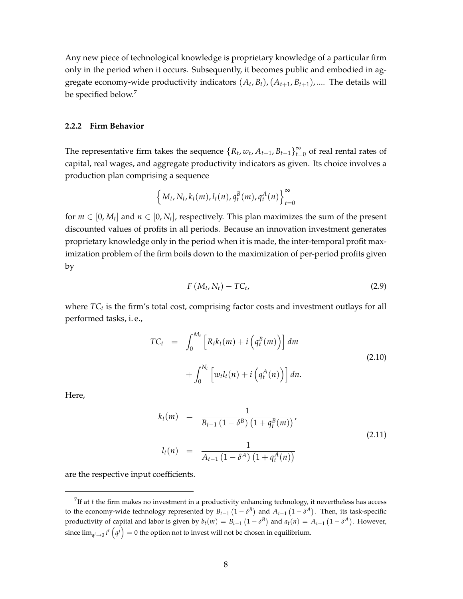Any new piece of technological knowledge is proprietary knowledge of a particular firm only in the period when it occurs. Subsequently, it becomes public and embodied in aggregate economy-wide productivity indicators  $(A_t, B_t)$ ,  $(A_{t+1}, B_{t+1})$ , .... The details will be specified below.<sup>7</sup>

#### **2.2.2 Firm Behavior**

The representative firm takes the sequence  $\{R_t, w_t, A_{t-1}, B_{t-1}\}_{t=1}^{\infty}$  $\sum_{t=0}^{\infty}$  of real rental rates of capital, real wages, and aggregate productivity indicators as given. Its choice involves a production plan comprising a sequence

$$
\left\{M_t,N_t,k_t(m),l_t(n),q_t^B(m),q_t^A(n)\right\}_{t=0}^{\infty}
$$

for  $m \in [0, M_t]$  and  $n \in [0, N_t]$ , respectively. This plan maximizes the sum of the present discounted values of profits in all periods. Because an innovation investment generates proprietary knowledge only in the period when it is made, the inter-temporal profit maximization problem of the firm boils down to the maximization of per-period profits given by

$$
F\left(M_t,N_t\right)-TC_t,\tag{2.9}
$$

where *TC<sup>t</sup>* is the firm's total cost, comprising factor costs and investment outlays for all performed tasks, i. e.,

$$
TC_t = \int_0^{M_t} \left[ R_t k_t(m) + i \left( q_t^B(m) \right) \right] dm
$$
  
+ 
$$
\int_0^{N_t} \left[ w_t l_t(n) + i \left( q_t^A(n) \right) \right] dn.
$$
 (2.10)

Here,

$$
k_t(m) = \frac{1}{B_{t-1} (1 - \delta^B) (1 + q_t^B(m))},
$$
  
\n
$$
l_t(n) = \frac{1}{A_{t-1} (1 - \delta^A) (1 + q_t^A(n))}
$$
\n(2.11)

are the respective input coefficients.

 $^{7}$ If at *t* the firm makes no investment in a productivity enhancing technology, it nevertheless has access to the economy-wide technology represented by  $B_{t-1} (1 - \delta^B)$  and  $A_{t-1} (1 - \delta^A)$ . Then, its task-specific productivity of capital and labor is given by  $b_t(m) = B_{t-1} (1-\delta^B)$  and  $a_t(n) = A_{t-1} (1-\delta^A)$ . However, since  $\lim_{q^j\to 0}i'\left(q^j\right)=0$  the option not to invest will not be chosen in equilibrium.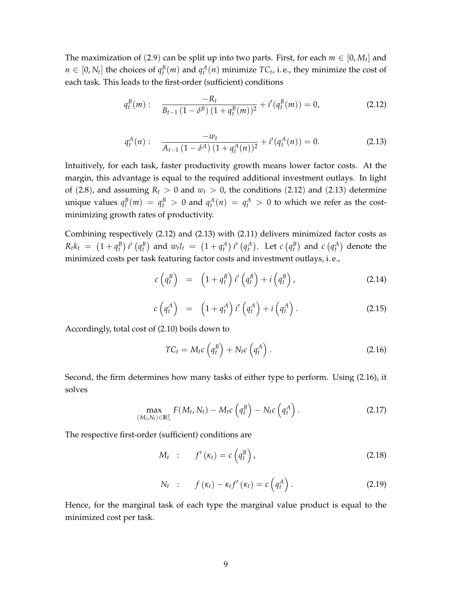The maximization of  $(2.9)$  can be split up into two parts. First, for each  $m \in [0, M_t]$  and  $n \in [0, N_t]$  the choices of  $q_t^B(m)$  and  $q_t^A(n)$  minimize  $TC_t$ , i.e., they minimize the cost of each task. This leads to the first-order (sufficient) conditions

$$
q_t^B(m): \quad \frac{-R_t}{B_{t-1}\left(1-\delta^B\right)(1+q_t^B(m))^2} + i'(q_t^B(m)) = 0,\tag{2.12}
$$

$$
q_t^A(n): \quad \frac{-w_t}{A_{t-1} (1 - \delta^A) (1 + q_t^A(n))^2} + i'(q_t^A(n)) = 0.
$$
\n(2.13)

Intuitively, for each task, faster productivity growth means lower factor costs. At the margin, this advantage is equal to the required additional investment outlays. In light of (2.8), and assuming  $R_t > 0$  and  $w_t > 0$ , the conditions (2.12) and (2.13) determine unique values  $q_t^B(m) = q_t^B > 0$  and  $q_t^A(n) = q_t^A > 0$  to which we refer as the costminimizing growth rates of productivity.

Combining respectively (2.12) and (2.13) with (2.11) delivers minimized factor costs as  $R_t k_t = (1+q_t^B) i' (q_t^B)$  and  $w_t l_t = (1+q_t^A) i' (q_t^A)$ . Let  $c (q_t^B)$  and  $c (q_t^A)$  denote the minimized costs per task featuring factor costs and investment outlays, i. e.,

$$
c\left(q_t^B\right) = \left(1 + q_t^B\right) i'\left(q_t^B\right) + i\left(q_t^B\right), \tag{2.14}
$$

$$
c\left(q_t^A\right) = \left(1 + q_t^A\right) i'\left(q_t^A\right) + i\left(q_t^A\right). \tag{2.15}
$$

Accordingly, total cost of (2.10) boils down to

$$
TC_t = M_t c \left( q_t^B \right) + N_t c \left( q_t^A \right). \tag{2.16}
$$

Second, the firm determines how many tasks of either type to perform. Using (2.16), it solves

$$
\max_{(M_t, N_t) \in \mathbb{R}_+^2} F(M_t, N_t) - M_t c\left(q_t^B\right) - N_t c\left(q_t^A\right).
$$
 (2.17)

The respective first-order (sufficient) conditions are

$$
M_t : f'(\kappa_t) = c\left(q_t^B\right), \qquad (2.18)
$$

$$
N_t : f(\kappa_t) - \kappa_t f'(\kappa_t) = c \left( q_t^A \right). \tag{2.19}
$$

Hence, for the marginal task of each type the marginal value product is equal to the minimized cost per task.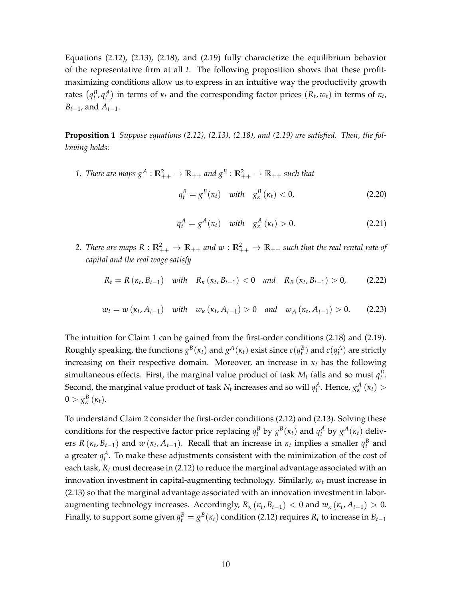Equations (2.12), (2.13), (2.18), and (2.19) fully characterize the equilibrium behavior of the representative firm at all *t*. The following proposition shows that these profitmaximizing conditions allow us to express in an intuitive way the productivity growth rates  $(q_t^B, q_t^A)$  in terms of  $\kappa_t$  and the corresponding factor prices  $(R_t, w_t)$  in terms of  $\kappa_t$ , *Bt*−1, and *At*−1.

**Proposition 1** *Suppose equations (2.12), (2.13), (2.18), and (2.19) are satisfied. Then, the following holds:*

1. *There are maps*  $g^A : \mathbb{R}^2_{++} \to \mathbb{R}_{++}$  and  $g^B : \mathbb{R}^2_{++} \to \mathbb{R}_{++}$  such that  $q_t^B = g^B(\kappa_t)$  *with*  $g^B_{\kappa}(\kappa_t) < 0$ , (2.20)

$$
q_t^A = g^A(\kappa_t) \quad \text{with} \quad g_\kappa^A(\kappa_t) > 0. \tag{2.21}
$$

2. *There are maps R* :  $\mathbb{R}^2_{++}\to\mathbb{R}_{++}$  and  $w$  :  $\mathbb{R}^2_{++}\to\mathbb{R}_{++}$  such that the real rental rate of *capital and the real wage satisfy*

$$
R_t = R(\kappa_t, B_{t-1}) \quad with \quad R_{\kappa}(\kappa_t, B_{t-1}) < 0 \quad and \quad R_B(\kappa_t, B_{t-1}) > 0,\tag{2.22}
$$

$$
w_t = w(\kappa_t, A_{t-1})
$$
 with  $w_{\kappa}(\kappa_t, A_{t-1}) > 0$  and  $w_A(\kappa_t, A_{t-1}) > 0$ . (2.23)

The intuition for Claim 1 can be gained from the first-order conditions (2.18) and (2.19). Roughly speaking, the functions  $g^B(\kappa_t)$  and  $g^A(\kappa_t)$  exist since  $c(q_t^B)$  and  $c(q_t^A)$  are strictly increasing on their respective domain. Moreover, an increase in  $\kappa_t$  has the following simultaneous effects. First, the marginal value product of task  $M_t$  falls and so must  $q_t^B$ . Second, the marginal value product of task  $N_t$  increases and so will  $q_t^A$ . Hence,  $g_{\kappa}^A(\kappa_t)$  >  $0 > g_{\kappa}^B(\kappa_t).$ 

To understand Claim 2 consider the first-order conditions (2.12) and (2.13). Solving these conditions for the respective factor price replacing  $q_t^B$  by  $g^B(\kappa_t)$  and  $q_t^A$  by  $g^A(\kappa_t)$  delivers  $R(\kappa_t, B_{t-1})$  and  $w(\kappa_t, A_{t-1})$ . Recall that an increase in  $\kappa_t$  implies a smaller  $q_t^B$  and a greater  $q_t^A$ . To make these adjustments consistent with the minimization of the cost of each task, *R<sup>t</sup>* must decrease in (2.12) to reduce the marginal advantage associated with an innovation investment in capital-augmenting technology. Similarly, *w<sup>t</sup>* must increase in (2.13) so that the marginal advantage associated with an innovation investment in laboraugmenting technology increases. Accordingly,  $R_k(\kappa_t, B_{t-1}) < 0$  and  $w_k(\kappa_t, A_{t-1}) > 0$ . Finally, to support some given  $q_t^B = g^B(\kappa_t)$  condition (2.12) requires  $R_t$  to increase in  $B_{t-1}$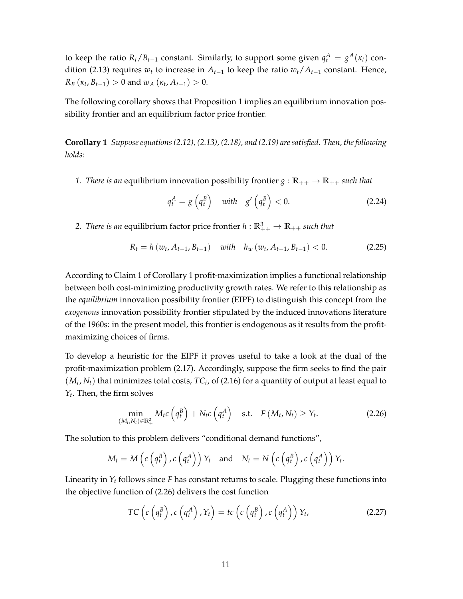to keep the ratio  $R_t/B_{t-1}$  constant. Similarly, to support some given  $q_t^A = g^A(\kappa_t)$  condition (2.13) requires  $w_t$  to increase in  $A_{t-1}$  to keep the ratio  $w_t/A_{t-1}$  constant. Hence,  $R_B(\kappa_t, B_{t-1}) > 0$  and  $w_A(\kappa_t, A_{t-1}) > 0$ .

The following corollary shows that Proposition 1 implies an equilibrium innovation possibility frontier and an equilibrium factor price frontier.

**Corollary 1** *Suppose equations (2.12), (2.13), (2.18), and (2.19) are satisfied. Then, the following holds:*

*1. There is an* equilibrium innovation possibility frontier  $g : \mathbb{R}_{++} \to \mathbb{R}_{++}$  *such that* 

$$
q_t^A = g\left(q_t^B\right) \quad \text{with} \quad g'\left(q_t^B\right) < 0. \tag{2.24}
$$

2. *There is an* equilibrium factor price frontier  $h: \mathbb{R}^3_{++} \to \mathbb{R}_{++}$  *such that* 

$$
R_t = h(w_t, A_{t-1}, B_{t-1}) \quad \text{with} \quad h_w(w_t, A_{t-1}, B_{t-1}) < 0. \tag{2.25}
$$

According to Claim 1 of Corollary 1 profit-maximization implies a functional relationship between both cost-minimizing productivity growth rates. We refer to this relationship as the *equilibrium* innovation possibility frontier (EIPF) to distinguish this concept from the *exogenous* innovation possibility frontier stipulated by the induced innovations literature of the 1960s: in the present model, this frontier is endogenous as it results from the profitmaximizing choices of firms.

To develop a heuristic for the EIPF it proves useful to take a look at the dual of the profit-maximization problem (2.17). Accordingly, suppose the firm seeks to find the pair  $(M_t, N_t)$  that minimizes total costs,  $TC_t$ , of (2.16) for a quantity of output at least equal to *Yt* . Then, the firm solves

$$
\min_{(M_t, N_t) \in \mathbb{R}_+^2} M_t c\left(q_t^B\right) + N_t c\left(q_t^A\right) \quad \text{s.t.} \quad F\left(M_t, N_t\right) \ge Y_t. \tag{2.26}
$$

The solution to this problem delivers "conditional demand functions",

$$
M_t = M\left(c\left(q_t^B\right), c\left(q_t^A\right)\right)Y_t \text{ and } N_t = N\left(c\left(q_t^B\right), c\left(q_t^A\right)\right)Y_t.
$$

Linearity in  $Y_t$  follows since  $F$  has constant returns to scale. Plugging these functions into the objective function of (2.26) delivers the cost function

$$
TC\left(c\left(q_t^B\right), c\left(q_t^A\right), Y_t\right) = tc\left(c\left(q_t^B\right), c\left(q_t^A\right)\right) Y_t, \tag{2.27}
$$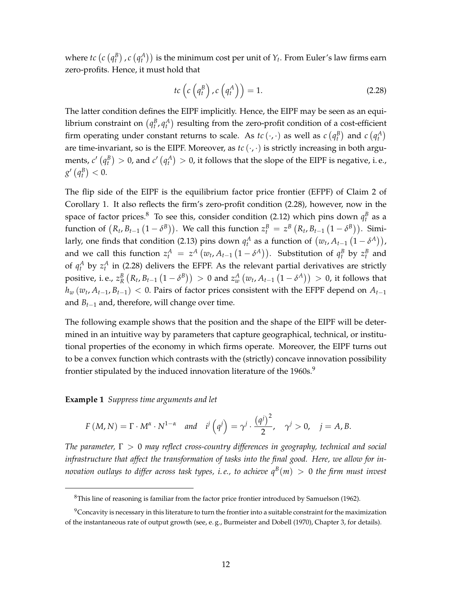where  $tc$   $(c$   $(q_t^B)$  ,  $c$   $(q_t^A)$ ) is the minimum cost per unit of  $Y_t$ . From Euler's law firms earn zero-profits. Hence, it must hold that

$$
tc\left(c\left(q_t^B\right), c\left(q_t^A\right)\right) = 1. \tag{2.28}
$$

The latter condition defines the EIPF implicitly. Hence, the EIPF may be seen as an equilibrium constraint on  $(q_t^B, q_t^A)$  resulting from the zero-profit condition of a cost-efficient firm operating under constant returns to scale. As  $tc(\cdot, \cdot)$  as well as  $c(q_t^B)$  and  $c(q_t^A)$ are time-invariant, so is the EIPF. Moreover, as  $tc(\cdot, \cdot)$  is strictly increasing in both arguments,  $c'$   $(q_t^B) > 0$ , and  $c'$   $(q_t^A) > 0$ , it follows that the slope of the EIPF is negative, i.e.,  $g' (q_t^B) < 0.$ 

The flip side of the EIPF is the equilibrium factor price frontier (EFPF) of Claim 2 of Corollary 1. It also reflects the firm's zero-profit condition (2.28), however, now in the space of factor prices.<sup>8</sup> To see this, consider condition (2.12) which pins down  $q_t^B$  as a function of  $(R_t, B_{t-1} (1 - \delta^B))$ . We call this function  $z_t^B = z^B (R_t, B_{t-1} (1 - \delta^B))$ . Similarly, one finds that condition (2.13) pins down  $q_t^A$  as a function of  $(w_t, A_{t-1} (1 - \delta^A))$ , and we call this function  $z_t^A = z^A(w_t, A_{t-1}(1-\delta^A))$ . Substitution of  $q_t^B$  by  $z_t^B$  and of  $q_t^A$  by  $z_t^A$  in (2.28) delivers the EFPF. As the relevant partial derivatives are strictly positive, i.e.,  $z_R^B\left(R_t,B_{t-1}\left(1-\delta^B\right)\right)~>~0$  and  $z_w^A\left(w_t,A_{t-1}\left(1-\delta^A\right)\right)~>~0$ , it follows that *h<sup>w</sup>* (*w<sup>t</sup>* , *At*−1, *Bt*−1) < 0. Pairs of factor prices consistent with the EFPF depend on *At*−<sup>1</sup> and  $B_{t-1}$  and, therefore, will change over time.

The following example shows that the position and the shape of the EIPF will be determined in an intuitive way by parameters that capture geographical, technical, or institutional properties of the economy in which firms operate. Moreover, the EIPF turns out to be a convex function which contrasts with the (strictly) concave innovation possibility frontier stipulated by the induced innovation literature of the 1960s.<sup>9</sup>

**Example 1** *Suppress time arguments and let*

$$
F(M,N)=\Gamma\cdot M^{\alpha}\cdot N^{1-\alpha} \quad \text{and} \quad i^j\left(q^j\right)=\gamma^j\cdot\frac{\left(q^j\right)^2}{2}, \quad \gamma^j>0, \quad j=A,B.
$$

*The parameter,* Γ > 0 *may reflect cross-country differences in geography, technical and social infrastructure that affect the transformation of tasks into the final good. Here, we allow for innovation outlays to differ across task types, i. e., to achieve q<sup>B</sup>* (*m*) > 0 *the firm must invest*

 $8$ This line of reasoning is familiar from the factor price frontier introduced by Samuelson (1962).

 $9$ Concavity is necessary in this literature to turn the frontier into a suitable constraint for the maximization of the instantaneous rate of output growth (see, e. g., Burmeister and Dobell (1970), Chapter 3, for details).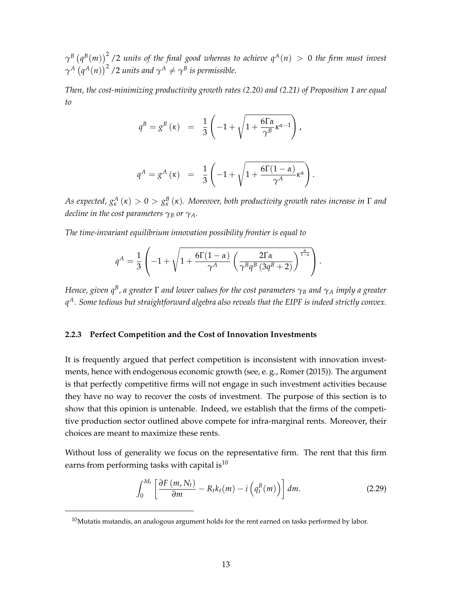*γ B q B* (*m*) 2 /2 *units of the final good whereas to achieve qA*(*n*) > 0 *the firm must invest*  $\gamma^A\left(q^A(n)\right)^2$  /2 *units and*  $\gamma^A\neq\gamma^B$  *is permissible.* 

*Then, the cost-minimizing productivity growth rates (2.20) and (2.21) of Proposition 1 are equal to*

$$
q^B = g^B(\kappa) = \frac{1}{3} \left( -1 + \sqrt{1 + \frac{6\Gamma\alpha}{\gamma^B} \kappa^{\alpha - 1}} \right),
$$

$$
q^{A} = g^{A}(\kappa) = \frac{1}{3} \left( -1 + \sqrt{1 + \frac{6\Gamma(1-\alpha)}{\gamma^{A}} \kappa^{\alpha}} \right)
$$

.

As expected,  $g^A_\kappa(\kappa)>0>g^B_\kappa(\kappa).$  Moreover, both productivity growth rates increase in  $\Gamma$  and *decline in the cost parameters*  $\gamma_B$  *or*  $\gamma_A$ *.* 

*The time-invariant equilibrium innovation possibility frontier is equal to*

$$
q^A = \frac{1}{3} \left(-1 + \sqrt{1 + \frac{6\Gamma(1-\alpha)}{\gamma^A}\left(\frac{2\Gamma\alpha}{\gamma^B q^B\left(3q^B + 2\right)}\right)^{\frac{\alpha}{1-\alpha}}}\right).
$$

*Hence, given q<sup>B</sup> , a greater* Γ *and lower values for the cost parameters γ<sup>B</sup> and γ<sup>A</sup> imply a greater q <sup>A</sup>. Some tedious but straightforward algebra also reveals that the EIPF is indeed strictly convex.*

#### **2.2.3 Perfect Competition and the Cost of Innovation Investments**

It is frequently argued that perfect competition is inconsistent with innovation investments, hence with endogenous economic growth (see, e. g., Romer (2015)). The argument is that perfectly competitive firms will not engage in such investment activities because they have no way to recover the costs of investment. The purpose of this section is to show that this opinion is untenable. Indeed, we establish that the firms of the competitive production sector outlined above compete for infra-marginal rents. Moreover, their choices are meant to maximize these rents.

Without loss of generality we focus on the representative firm. The rent that this firm earns from performing tasks with capital is<sup>10</sup>

$$
\int_0^{M_t} \left[ \frac{\partial F\left(m, N_t\right)}{\partial m} - R_t k_t(m) - i \left( q_t^B(m) \right) \right] dm. \tag{2.29}
$$

 $10$ Mutatis mutandis, an analogous argument holds for the rent earned on tasks performed by labor.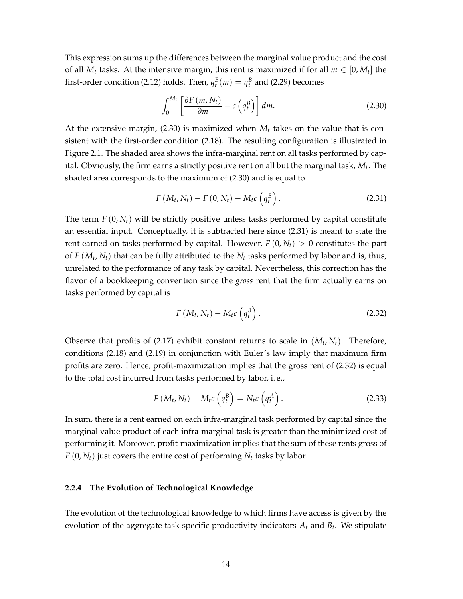This expression sums up the differences between the marginal value product and the cost of all  $M_t$  tasks. At the intensive margin, this rent is maximized if for all  $m \in [0, M_t]$  the first-order condition (2.12) holds. Then,  $q_t^B(m) = q_t^B$  and (2.29) becomes

$$
\int_0^{M_t} \left[ \frac{\partial F\left(m, N_t\right)}{\partial m} - c\left(q_t^B\right) \right] dm.
$$
\n(2.30)

At the extensive margin,  $(2.30)$  is maximized when  $M_t$  takes on the value that is consistent with the first-order condition (2.18). The resulting configuration is illustrated in Figure 2.1. The shaded area shows the infra-marginal rent on all tasks performed by capital. Obviously, the firm earns a strictly positive rent on all but the marginal task, *M<sup>t</sup>* . The shaded area corresponds to the maximum of (2.30) and is equal to

$$
F(M_t, N_t) - F(0, N_t) - M_t c\left(q_t^B\right).
$$
 (2.31)

The term  $F(0, N_t)$  will be strictly positive unless tasks performed by capital constitute an essential input. Conceptually, it is subtracted here since (2.31) is meant to state the rent earned on tasks performed by capital. However,  $F(0, N_t) > 0$  constitutes the part of *F* (*M<sup>t</sup>* , *Nt*) that can be fully attributed to the *N<sup>t</sup>* tasks performed by labor and is, thus, unrelated to the performance of any task by capital. Nevertheless, this correction has the flavor of a bookkeeping convention since the *gross* rent that the firm actually earns on tasks performed by capital is

$$
F\left(M_t, N_t\right) - M_t c\left(q_t^B\right). \tag{2.32}
$$

Observe that profits of (2.17) exhibit constant returns to scale in  $(M_t, N_t)$ . Therefore, conditions (2.18) and (2.19) in conjunction with Euler's law imply that maximum firm profits are zero. Hence, profit-maximization implies that the gross rent of (2.32) is equal to the total cost incurred from tasks performed by labor, i. e.,

$$
F(M_t, N_t) - M_t c\left(q_t^B\right) = N_t c\left(q_t^A\right).
$$
 (2.33)

In sum, there is a rent earned on each infra-marginal task performed by capital since the marginal value product of each infra-marginal task is greater than the minimized cost of performing it. Moreover, profit-maximization implies that the sum of these rents gross of *F* (0,  $N_t$ ) just covers the entire cost of performing  $N_t$  tasks by labor.

#### **2.2.4 The Evolution of Technological Knowledge**

The evolution of the technological knowledge to which firms have access is given by the evolution of the aggregate task-specific productivity indicators *A<sup>t</sup>* and *B<sup>t</sup>* . We stipulate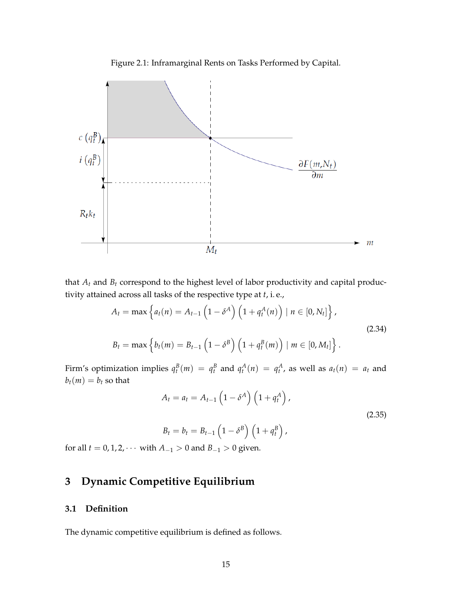Figure 2.1: Inframarginal Rents on Tasks Performed by Capital.



that  $A_t$  and  $B_t$  correspond to the highest level of labor productivity and capital productivity attained across all tasks of the respective type at *t*, i. e.,

$$
A_{t} = \max \left\{ a_{t}(n) = A_{t-1} \left( 1 - \delta^{A} \right) \left( 1 + q_{t}^{A}(n) \right) \mid n \in [0, N_{t}] \right\},
$$
\n
$$
B_{t} = \max \left\{ b_{t}(m) = B_{t-1} \left( 1 - \delta^{B} \right) \left( 1 + q_{t}^{B}(m) \right) \mid m \in [0, M_{t}] \right\}.
$$
\n(2.34)

Firm's optimization implies  $q_t^B(m) = q_t^B$  and  $q_t^A(n) = q_t^A$ , as well as  $a_t(n) = a_t$  and  $b_t(m) = b_t$  so that

$$
A_t = a_t = A_{t-1} \left( 1 - \delta^A \right) \left( 1 + q_t^A \right),
$$
  
\n
$$
B_t = b_t = B_{t-1} \left( 1 - \delta^B \right) \left( 1 + q_t^B \right),
$$
\n(2.35)

for all *t* = 0, 1, 2,  $\cdots$  with *A*<sub>−1</sub> > 0 and *B*<sub>−1</sub> > 0 given.

## **3 Dynamic Competitive Equilibrium**

## **3.1 Definition**

The dynamic competitive equilibrium is defined as follows.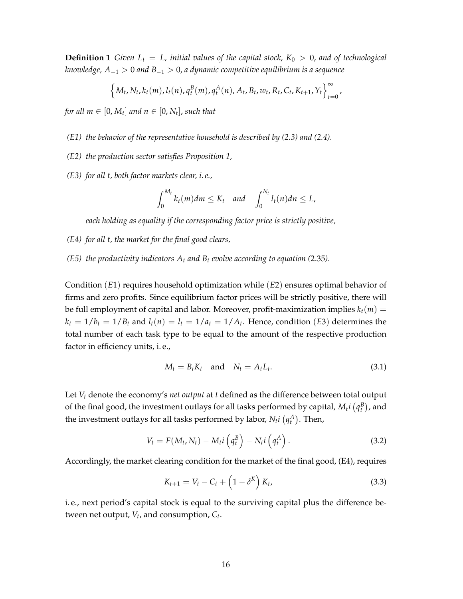**Definition 1** *Given L<sub>t</sub>* = *L*, *initial values of the capital stock,*  $K_0 > 0$ , *and of technological knowledge, A*−<sup>1</sup> > 0 *and B*−<sup>1</sup> > 0, *a dynamic competitive equilibrium is a sequence*

$$
\left\{M_t,N_t,k_t(m),l_t(n),q_t^B(m),q_t^A(n),A_t,B_t,w_t,R_t,C_t,K_{t+1},Y_t\right\}_{t=0}^{\infty},
$$

for all  $m \in [0, M_t]$  and  $n \in [0, N_t]$ , such that

- *(E1) the behavior of the representative household is described by (2.3) and (2.4).*
- *(E2) the production sector satisfies Proposition 1,*
- *(E3) for all t, both factor markets clear, i. e.,*

$$
\int_0^{M_t} k_t(m) dm \leq K_t \quad and \quad \int_0^{N_t} l_t(n) dn \leq L,
$$

*each holding as equality if the corresponding factor price is strictly positive,*

- *(E4) for all t, the market for the final good clears,*
- *(E5) the productivity indicators A<sup>t</sup> and B<sup>t</sup> evolve according to equation (*2.35*).*

Condition (*E*1) requires household optimization while (*E*2) ensures optimal behavior of firms and zero profits. Since equilibrium factor prices will be strictly positive, there will be full employment of capital and labor. Moreover, profit-maximization implies  $k_t(m)$  =  $k_t = 1/b_t = 1/B_t$  and  $l_t(n) = l_t = 1/a_t = 1/A_t$ . Hence, condition (*E*3) determines the total number of each task type to be equal to the amount of the respective production factor in efficiency units, i. e.,

$$
M_t = B_t K_t \quad \text{and} \quad N_t = A_t L_t. \tag{3.1}
$$

Let *V<sup>t</sup>* denote the economy's *net output* at *t* defined as the difference between total output of the final good, the investment outlays for all tasks performed by capital,  $M_t i\left(q^B_t\right)$ , and the investment outlays for all tasks performed by labor,  $N_t i (q_t^A)$ . Then,

$$
V_t = F(M_t, N_t) - M_t i \left( q_t^B \right) - N_t i \left( q_t^A \right). \tag{3.2}
$$

Accordingly, the market clearing condition for the market of the final good, (E4), requires

$$
K_{t+1} = V_t - C_t + \left(1 - \delta^K\right) K_t, \tag{3.3}
$$

i. e., next period's capital stock is equal to the surviving capital plus the difference between net output, *V<sup>t</sup>* , and consumption, *C<sup>t</sup>* .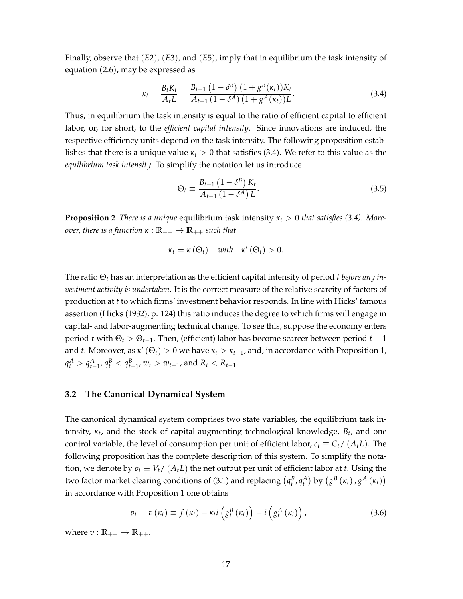Finally, observe that (*E*2), (*E*3), and (*E*5), imply that in equilibrium the task intensity of equation (2.6), may be expressed as

$$
\kappa_t = \frac{B_t K_t}{A_t L} = \frac{B_{t-1} (1 - \delta^B) (1 + g^B(\kappa_t)) K_t}{A_{t-1} (1 - \delta^A) (1 + g^A(\kappa_t)) L}.
$$
\n(3.4)

Thus, in equilibrium the task intensity is equal to the ratio of efficient capital to efficient labor, or, for short, to the *efficient capital intensity*. Since innovations are induced, the respective efficiency units depend on the task intensity. The following proposition establishes that there is a unique value  $\kappa_t > 0$  that satisfies (3.4). We refer to this value as the *equilibrium task intensity*. To simplify the notation let us introduce

$$
\Theta_t \equiv \frac{B_{t-1} \left(1 - \delta^B\right) K_t}{A_{t-1} \left(1 - \delta^A\right) L}.\tag{3.5}
$$

**Proposition 2** *There is a unique* equilibrium task intensity *κ<sup>t</sup>* > 0 *that satisfies (3.4). Moreover, there is a function*  $\kappa : \mathbb{R}_{++} \to \mathbb{R}_{++}$  *such that* 

$$
\kappa_t = \kappa(\Theta_t) \quad \text{with} \quad \kappa'(\Theta_t) > 0.
$$

The ratio Θ*<sup>t</sup>* has an interpretation as the efficient capital intensity of period *t before any investment activity is undertaken*. It is the correct measure of the relative scarcity of factors of production at *t* to which firms' investment behavior responds. In line with Hicks' famous assertion (Hicks (1932), p. 124) this ratio induces the degree to which firms will engage in capital- and labor-augmenting technical change. To see this, suppose the economy enters period *t* with  $\Theta_t > \Theta_{t-1}$ . Then, (efficient) labor has become scarcer between period *t* − 1 and *t*. Moreover, as  $\kappa'(\Theta_t) > 0$  we have  $\kappa_t > \kappa_{t-1}$ , and, in accordance with Proposition 1,  $q_t^A > q_{t-1}^A$ ,  $q_t^B < q_{t-1}^B$ ,  $w_t > w_{t-1}$ , and  $R_t < R_{t-1}$ .

#### **3.2 The Canonical Dynamical System**

The canonical dynamical system comprises two state variables, the equilibrium task intensity, *κ<sup>t</sup>* , and the stock of capital-augmenting technological knowledge, *B<sup>t</sup>* , and one control variable, the level of consumption per unit of efficient labor,  $c_t \equiv C_t / (A_t L)$ . The following proposition has the complete description of this system. To simplify the notation, we denote by  $v_t \equiv V_t / (A_t L)$  the net output per unit of efficient labor at *t*. Using the two factor market clearing conditions of (3.1) and replacing  $(q_t^B, q_t^A)$  by  $(g^B(\kappa_t), g^A(\kappa_t))$ in accordance with Proposition 1 one obtains

$$
v_t = v(\kappa_t) \equiv f(\kappa_t) - \kappa_t i\left(g_t^B(\kappa_t)\right) - i\left(g_t^A(\kappa_t)\right),\tag{3.6}
$$

where  $v : \mathbb{R}_{++} \to \mathbb{R}_{++}$ .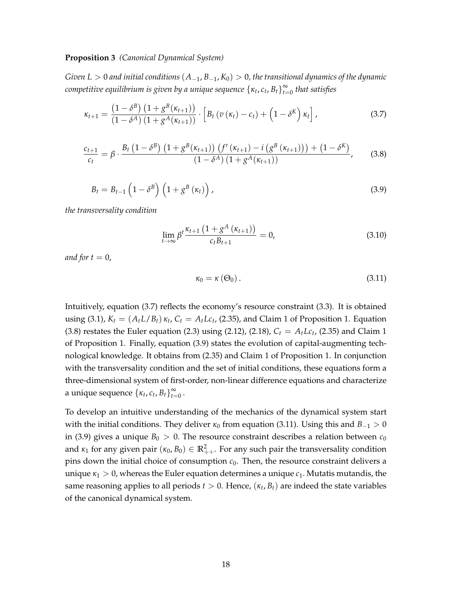#### **Proposition 3** *(Canonical Dynamical System)*

*Given L* > 0 *and initial conditions* (*A*−1, *B*−1, *K*0) > 0*, the transitional dynamics of the dynamic*  $\mathit{complete} \left\{ \kappa_{t}, c_{t}, B_{t} \right\}_{t=1}^{\infty}$ *t*=0 *that satisfies*

$$
\kappa_{t+1} = \frac{\left(1 - \delta^B\right)\left(1 + g^B(\kappa_{t+1})\right)}{\left(1 - \delta^A\right)\left(1 + g^A(\kappa_{t+1})\right)} \cdot \left[B_t\left(v\left(\kappa_t\right) - c_t\right) + \left(1 - \delta^K\right)\kappa_t\right],\tag{3.7}
$$

$$
\frac{c_{t+1}}{c_t} = \beta \cdot \frac{B_t \left(1 - \delta^B\right) \left(1 + g^B(\kappa_{t+1})\right) \left(f'(\kappa_{t+1}) - i\left(g^B(\kappa_{t+1})\right)\right) + \left(1 - \delta^K\right)}{\left(1 - \delta^A\right) \left(1 + g^A(\kappa_{t+1})\right)},\tag{3.8}
$$

$$
B_{t} = B_{t-1} \left( 1 - \delta^{B} \right) \left( 1 + g^{B} \left( \kappa_{t} \right) \right), \tag{3.9}
$$

*the transversality condition*

$$
\lim_{t \to \infty} \beta^t \frac{\kappa_{t+1} \left( 1 + g^A \left( \kappa_{t+1} \right) \right)}{c_t B_{t+1}} = 0,
$$
\n(3.10)

*and for*  $t = 0$ ,

$$
\kappa_0 = \kappa\left(\Theta_0\right). \tag{3.11}
$$

Intuitively, equation (3.7) reflects the economy's resource constraint (3.3). It is obtained using (3.1),  $K_t = (A_t L/B_t) \kappa_t$ ,  $C_t = A_t L c_t$ , (2.35), and Claim 1 of Proposition 1. Equation (3.8) restates the Euler equation (2.3) using (2.12), (2.18),  $C_t = A_t L c_t$ , (2.35) and Claim 1 of Proposition 1. Finally, equation (3.9) states the evolution of capital-augmenting technological knowledge. It obtains from (2.35) and Claim 1 of Proposition 1. In conjunction with the transversality condition and the set of initial conditions, these equations form a three-dimensional system of first-order, non-linear difference equations and characterize a unique sequence  $\{\kappa_t, c_t, B_t\}_{t=1}^\infty$  $\sum_{t=0}^{\infty}$ .

To develop an intuitive understanding of the mechanics of the dynamical system start with the initial conditions. They deliver  $\kappa_0$  from equation (3.11). Using this and *B*<sub>−1</sub> > 0 in (3.9) gives a unique  $B_0 > 0$ . The resource constraint describes a relation between  $c_0$ and  $\kappa_1$  for any given pair  $(\kappa_0, B_0) \in \mathbb{R}^2_{++}$ . For any such pair the transversality condition pins down the initial choice of consumption  $c_0$ . Then, the resource constraint delivers a unique  $\kappa_1 > 0$ , whereas the Euler equation determines a unique  $c_1$ . Mutatis mutandis, the same reasoning applies to all periods  $t > 0$ . Hence,  $(\kappa_t, B_t)$  are indeed the state variables of the canonical dynamical system.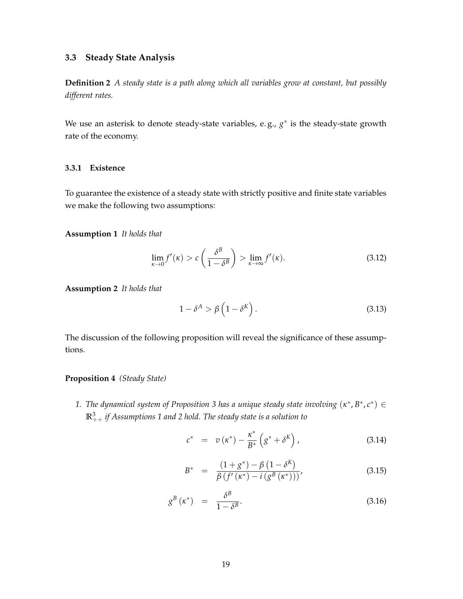## **3.3 Steady State Analysis**

**Definition 2** *A steady state is a path along which all variables grow at constant, but possibly different rates.*

We use an asterisk to denote steady-state variables, e.g.,  $g^*$  is the steady-state growth rate of the economy.

#### **3.3.1 Existence**

To guarantee the existence of a steady state with strictly positive and finite state variables we make the following two assumptions:

**Assumption 1** *It holds that*

$$
\lim_{\kappa \to 0} f'(\kappa) > c \left( \frac{\delta^B}{1 - \delta^B} \right) > \lim_{\kappa \to \infty} f'(\kappa). \tag{3.12}
$$

**Assumption 2** *It holds that*

$$
1 - \delta^A > \beta \left(1 - \delta^K\right). \tag{3.13}
$$

The discussion of the following proposition will reveal the significance of these assumptions.

#### **Proposition 4** *(Steady State)*

1. The dynamical system of Proposition 3 has a unique steady state involving  $(\kappa^*, B^*, c^*) \in$  $\mathbb{R}^3_{++}$  *if Assumptions 1 and 2 hold. The steady state is a solution to* 

$$
c^* = v(\kappa^*) - \frac{\kappa^*}{B^*} \left( g^* + \delta^K \right), \tag{3.14}
$$

$$
B^* = \frac{(1+g^*) - \beta (1-\delta^{K})}{\beta (f'(k^*) - i(g^B(k^*)))},
$$
\n(3.15)

$$
g^B(\kappa^*) = \frac{\delta^B}{1 - \delta^B}.
$$
\n(3.16)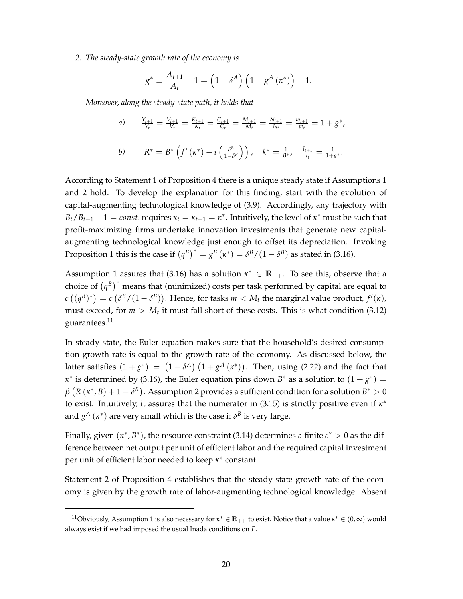*2. The steady-state growth rate of the economy is*

$$
g^* \equiv \frac{A_{t+1}}{A_t} - 1 = \left(1 - \delta^A\right) \left(1 + g^A\left(\kappa^*\right)\right) - 1.
$$

*Moreover, along the steady-state path, it holds that*

a) 
$$
\frac{Y_{t+1}}{Y_t} = \frac{V_{t+1}}{V_t} = \frac{K_{t+1}}{K_t} = \frac{C_{t+1}}{C_t} = \frac{M_{t+1}}{M_t} = \frac{N_{t+1}}{N_t} = \frac{w_{t+1}}{w_t} = 1 + g^*,
$$
  
\nb)  $R^* = B^* \left( f' \left( \kappa^* \right) - i \left( \frac{\delta^B}{1 - \delta^B} \right) \right), \quad k^* = \frac{1}{B^*}, \quad \frac{l_{t+1}}{l_t} = \frac{1}{1 + g^*}.$ 

According to Statement 1 of Proposition 4 there is a unique steady state if Assumptions 1 and 2 hold. To develop the explanation for this finding, start with the evolution of capital-augmenting technological knowledge of (3.9). Accordingly, any trajectory with  $B_t/B_{t-1} - 1 = \text{const.}$  requires  $\kappa_t = \kappa_{t+1} = \kappa^*$ . Intuitively, the level of  $\kappa^*$  must be such that profit-maximizing firms undertake innovation investments that generate new capitalaugmenting technological knowledge just enough to offset its depreciation. Invoking Proposition 1 this is the case if  $(q^B)^* = g^B(\kappa^*) = \delta^B/(1-\delta^B)$  as stated in (3.16).

Assumption 1 assures that (3.16) has a solution  $\kappa^* \in \mathbb{R}_{++}$ . To see this, observe that a choice of  $(q^B)^*$  means that (minimized) costs per task performed by capital are equal to  $c((q^B)^*) = c(\delta^B/(1-\delta^B))$ . Hence, for tasks  $m < M_t$  the marginal value product,  $f'(\kappa)$ , must exceed, for  $m > M_t$  it must fall short of these costs. This is what condition (3.12) guarantees.<sup>11</sup>

In steady state, the Euler equation makes sure that the household's desired consumption growth rate is equal to the growth rate of the economy. As discussed below, the latter satisfies  $(1+g^*) = (1-\delta^A) (1+g^A(\kappa^*))$ . Then, using (2.22) and the fact that  $\kappa^*$  is determined by (3.16), the Euler equation pins down  $B^*$  as a solution to  $(1+g^*)$  =  $\beta\left(R\left(\kappa^{*},B\right)+1-\delta^{K}\right)$ . Assumption 2 provides a sufficient condition for a solution  $B^{*}>0$ to exist. Intuitively, it assures that the numerator in (3.15) is strictly positive even if *κ* ∗ and  $g^A$   $(\kappa^*)$  are very small which is the case if  $\delta^B$  is very large.

Finally, given  $(\kappa^*, B^*)$ , the resource constraint (3.14) determines a finite  $c^* > 0$  as the difference between net output per unit of efficient labor and the required capital investment per unit of efficient labor needed to keep *κ* ∗ constant.

Statement 2 of Proposition 4 establishes that the steady-state growth rate of the economy is given by the growth rate of labor-augmenting technological knowledge. Absent

<sup>&</sup>lt;sup>11</sup>Obviously, Assumption 1 is also necessary for  $\kappa^* \in \mathbb{R}_{++}$  to exist. Notice that a value  $\kappa^* \in (0,\infty)$  would always exist if we had imposed the usual Inada conditions on *F*.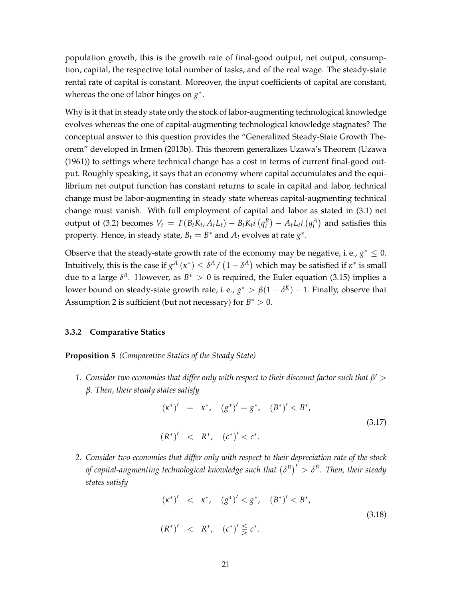population growth, this is the growth rate of final-good output, net output, consumption, capital, the respective total number of tasks, and of the real wage. The steady-state rental rate of capital is constant. Moreover, the input coefficients of capital are constant, whereas the one of labor hinges on *g* ∗ .

Why is it that in steady state only the stock of labor-augmenting technological knowledge evolves whereas the one of capital-augmenting technological knowledge stagnates? The conceptual answer to this question provides the "Generalized Steady-State Growth Theorem" developed in Irmen (2013b). This theorem generalizes Uzawa's Theorem (Uzawa (1961)) to settings where technical change has a cost in terms of current final-good output. Roughly speaking, it says that an economy where capital accumulates and the equilibrium net output function has constant returns to scale in capital and labor, technical change must be labor-augmenting in steady state whereas capital-augmenting technical change must vanish. With full employment of capital and labor as stated in (3.1) net output of (3.2) becomes  $V_t = F(B_t K_t, A_t L_t) - B_t K_t i (q_t^B) - A_t L_t i (q_t^A)$  and satisfies this property. Hence, in steady state,  $B_t = B^*$  and  $A_t$  evolves at rate  $g^*$ .

Observe that the steady-state growth rate of the economy may be negative, i.e.,  $g^* \leq 0$ . Intuitively, this is the case if  $g^A$  ( $\kappa^*$ )  $\leq$   $\delta^A$  /  $\left(1-\delta^A\right)$  which may be satisfied if  $\kappa^*$  is small due to a large  $\delta^B$ . However, as  $B^* > 0$  is required, the Euler equation (3.15) implies a lower bound on steady-state growth rate, i.e.,  $g^* > \beta(1-\delta^K) - 1$ . Finally, observe that Assumption 2 is sufficient (but not necessary) for  $B^* > 0$ .

#### **3.3.2 Comparative Statics**

**Proposition 5** *(Comparative Statics of the Steady State)*

*1. Consider two economies that differ only with respect to their discount factor such that*  $\beta'>$ *β. Then, their steady states satisfy*

$$
(\kappa^*)' = \kappa^*, \quad (g^*)' = g^*, \quad (B^*)' < B^*,
$$
\n
$$
(R^*)' < R^*, \quad (c^*)' < c^*.
$$
\n(3.17)

*2. Consider two economies that differ only with respect to their depreciation rate of the stock* of capital-augmenting technological knowledge such that  $\left(\delta^B\right)' > \delta^B.$  Then, their steady *states satisfy*

$$
(\kappa^*)'
$$
  $< \kappa^*$ ,  $(g^*)' < g^*$ ,  $(B^*)' < B^*$ ,  
 $(R^*)'$   $< R^*$ ,  $(c^*)' \leq c^*$ . (3.18)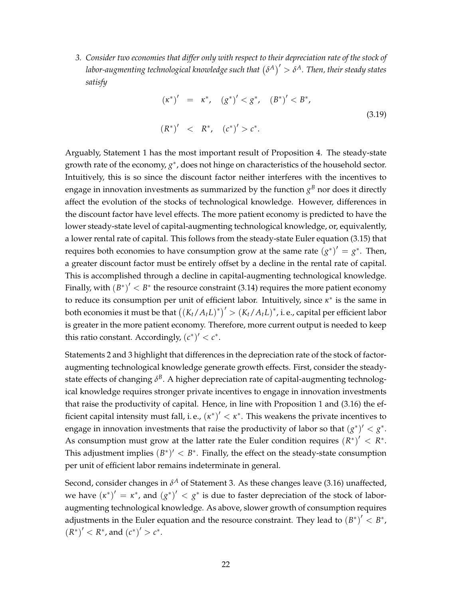*3. Consider two economies that differ only with respect to their depreciation rate of the stock of* labor-augmenting technological knowledge such that  $\left(\delta^A\right)' > \delta^A.$  Then, their steady states *satisfy*

$$
(k^*)' = k^*, (g^*)' < g^*, (B^*)' < B^*,
$$
\n
$$
(3.19)
$$
\n
$$
(R^*)' < R^*, (c^*)' > c^*.
$$

Arguably, Statement 1 has the most important result of Proposition 4. The steady-state growth rate of the economy,  $g^*$ , does not hinge on characteristics of the household sector. Intuitively, this is so since the discount factor neither interferes with the incentives to engage in innovation investments as summarized by the function  $g^B$  nor does it directly affect the evolution of the stocks of technological knowledge. However, differences in the discount factor have level effects. The more patient economy is predicted to have the lower steady-state level of capital-augmenting technological knowledge, or, equivalently, a lower rental rate of capital. This follows from the steady-state Euler equation (3.15) that requires both economies to have consumption grow at the same rate  $(g^*)' = g^*$ . Then, a greater discount factor must be entirely offset by a decline in the rental rate of capital. This is accomplished through a decline in capital-augmenting technological knowledge. Finally, with  $(B^*)' < B^*$  the resource constraint (3.14) requires the more patient economy to reduce its consumption per unit of efficient labor. Intuitively, since *κ*<sup>\*</sup> is the same in both economies it must be that  $\left( (K_t/A_tL)^* \right)' > \left( K_t/A_tL \right)^*$ , i. e., capital per efficient labor is greater in the more patient economy. Therefore, more current output is needed to keep this ratio constant. Accordingly,  $(c^*)' < c^*$ .

Statements 2 and 3 highlight that differences in the depreciation rate of the stock of factoraugmenting technological knowledge generate growth effects. First, consider the steadystate effects of changing  $\delta^B$ . A higher depreciation rate of capital-augmenting technological knowledge requires stronger private incentives to engage in innovation investments that raise the productivity of capital. Hence, in line with Proposition 1 and (3.16) the efficient capital intensity must fall, i. e.,  $(\kappa^*)' < \kappa^*$ . This weakens the private incentives to engage in innovation investments that raise the productivity of labor so that  $(g^*)' < g^*$ . As consumption must grow at the latter rate the Euler condition requires  $(R^*)' < R^*$ . This adjustment implies  $(B^*)' < B^*$ . Finally, the effect on the steady-state consumption per unit of efficient labor remains indeterminate in general.

Second, consider changes in  $\delta^A$  of Statement 3. As these changes leave (3.16) unaffected, we have  $(\kappa^*)' = \kappa^*$ , and  $(g^*)' < g^*$  is due to faster depreciation of the stock of laboraugmenting technological knowledge. As above, slower growth of consumption requires adjustments in the Euler equation and the resource constraint. They lead to  $(B^*)' < B^*$ ,  $(R^*)' < R^*$ , and  $(c^*)' > c^*$ .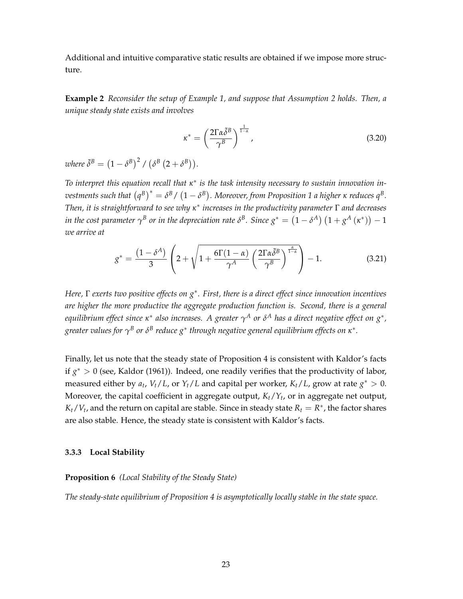Additional and intuitive comparative static results are obtained if we impose more structure.

**Example 2** *Reconsider the setup of Example 1, and suppose that Assumption 2 holds. Then, a unique steady state exists and involves*

$$
\kappa^* = \left(\frac{2\Gamma\alpha\tilde{\delta}^B}{\gamma^B}\right)^{\frac{1}{1-\alpha}},\tag{3.20}
$$

*where*  $\tilde{\delta}^B = (1 - \delta^B)^2 / (\delta^B (2 + \delta^B))$ .

To interpret this equation recall that *κ*<sup>\*</sup> is the task intensity necessary to sustain innovation in- $\alpha$  vestments such that  $\left(q^{B}\right)^{*} = \delta^{B} / \left(1 - \delta^{B}\right)$ . Moreover, from Proposition 1 a higher  $\kappa$  reduces  $q^{B}$ . *Then, it is straightforward to see why κ* ∗ *increases in the productivity parameter* Γ *and decreases in the cost parameter*  $\gamma^B$  *or in the depreciation rate*  $\delta^B$ *. Since*  $g^* = (1 - \delta^A) (1 + g^A(\kappa^*)) - 1$ *we arrive at*

$$
g^* = \frac{(1 - \delta^A)}{3} \left( 2 + \sqrt{1 + \frac{6\Gamma(1 - \alpha)}{\gamma^A} \left( \frac{2\Gamma\alpha\tilde{\delta}^B}{\gamma^B} \right)^{\frac{\alpha}{1 - \alpha}}} \right) - 1.
$$
 (3.21)

*Here,* Γ *exerts two positive effects on g*<sup>∗</sup> *. First, there is a direct effect since innovation incentives are higher the more productive the aggregate production function is. Second, there is a general* equilibrium effect since  $\kappa^*$  also increases. A greater  $\gamma^A$  or  $\delta^A$  has a direct negative effect on g $^*,$ greater values for  $\gamma^B$  or  $\delta^B$  reduce  $g^*$  through negative general equilibrium effects on  $\kappa^*.$ 

Finally, let us note that the steady state of Proposition 4 is consistent with Kaldor's facts if  $g^* > 0$  (see, Kaldor (1961)). Indeed, one readily verifies that the productivity of labor, measured either by  $a_t$ ,  $V_t/L$ , or  $Y_t/L$  and capital per worker,  $K_t/L$ , grow at rate  $g^* > 0$ . Moreover, the capital coefficient in aggregate output, *Kt*/*Y<sup>t</sup>* , or in aggregate net output,  $K_t/V_t$ , and the return on capital are stable. Since in steady state  $R_t = R^*$ , the factor shares are also stable. Hence, the steady state is consistent with Kaldor's facts.

#### **3.3.3 Local Stability**

#### **Proposition 6** *(Local Stability of the Steady State)*

*The steady-state equilibrium of Proposition 4 is asymptotically locally stable in the state space.*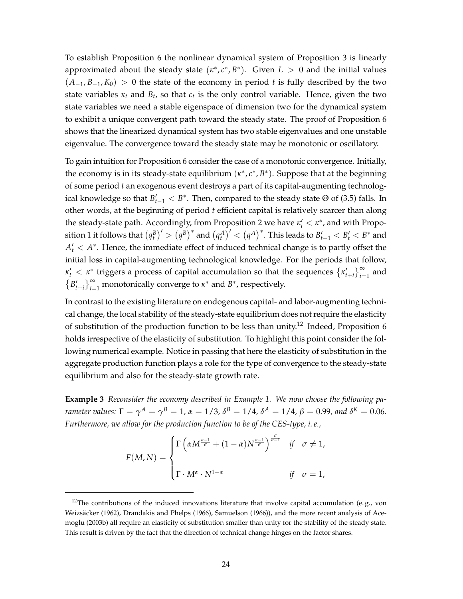To establish Proposition 6 the nonlinear dynamical system of Proposition 3 is linearly approximated about the steady state  $(\kappa^*, c^*, B^*)$ . Given  $L > 0$  and the initial values  $(A_{-1}, B_{-1}, K_0) > 0$  the state of the economy in period *t* is fully described by the two state variables  $\kappa_t$  and  $B_t$ , so that  $c_t$  is the only control variable. Hence, given the two state variables we need a stable eigenspace of dimension two for the dynamical system to exhibit a unique convergent path toward the steady state. The proof of Proposition 6 shows that the linearized dynamical system has two stable eigenvalues and one unstable eigenvalue. The convergence toward the steady state may be monotonic or oscillatory.

To gain intuition for Proposition 6 consider the case of a monotonic convergence. Initially, the economy is in its steady-state equilibrium  $(\kappa^*, c^*, B^*)$ . Suppose that at the beginning of some period *t* an exogenous event destroys a part of its capital-augmenting technological knowledge so that  $B'_{t-1} < B^*$ . Then, compared to the steady state  $\Theta$  of (3.5) falls. In other words, at the beginning of period *t* efficient capital is relatively scarcer than along the steady-state path. Accordingly, from Proposition 2 we have  $κ'_t < κ^*$ , and with Proposition 1 it follows that  $\left(q_t^B\right)' > \left(q^B\right)^*$  and  $\left(q_t^A\right)' < \left(q^A\right)^*$ . This leads to  $B'_{t-1} < B'_t < B^*$  and  $A'_t < A^*$ . Hence, the immediate effect of induced technical change is to partly offset the initial loss in capital-augmenting technological knowledge. For the periods that follow, *κ*<sup>*t*</sup>  $\lt$  *κ*<sup>\*</sup> triggers a process of capital accumulation so that the sequences  $\{\kappa'_{t+i}\}_{i=1}^{\infty}$  and  ${B'_{t+i}}_{i=1}^{\infty}$  monotonically converge to *κ*<sup>\*</sup> and *B*<sup>\*</sup>, respectively.

In contrast to the existing literature on endogenous capital- and labor-augmenting technical change, the local stability of the steady-state equilibrium does not require the elasticity of substitution of the production function to be less than unity.<sup>12</sup> Indeed, Proposition 6 holds irrespective of the elasticity of substitution. To highlight this point consider the following numerical example. Notice in passing that here the elasticity of substitution in the aggregate production function plays a role for the type of convergence to the steady-state equilibrium and also for the steady-state growth rate.

**Example 3** *Reconsider the economy described in Example 1. We now choose the following parameter values:*  $\Gamma = \gamma^A = \gamma^B = 1$ ,  $\alpha = 1/3$ ,  $\delta^B = 1/4$ ,  $\delta^A = 1/4$ ,  $\beta = 0.99$ , and  $\delta^K = 0.06$ . *Furthermore, we allow for the production function to be of the CES-type, i. e.,*

$$
F(M,N) = \begin{cases} \Gamma\left(\alpha M^{\frac{\sigma-1}{\sigma}} + (1-\alpha)N^{\frac{\sigma-1}{\sigma}}\right)^{\frac{\sigma}{\sigma-1}} & \text{if } \sigma \neq 1, \\ \\ \Gamma \cdot M^{\alpha} \cdot N^{1-\alpha} & \text{if } \sigma = 1, \end{cases}
$$

 $12$ The contributions of the induced innovations literature that involve capital accumulation (e.g., von Weizsäcker (1962), Drandakis and Phelps (1966), Samuelson (1966)), and the more recent analysis of Acemoglu (2003b) all require an elasticity of substitution smaller than unity for the stability of the steady state. This result is driven by the fact that the direction of technical change hinges on the factor shares.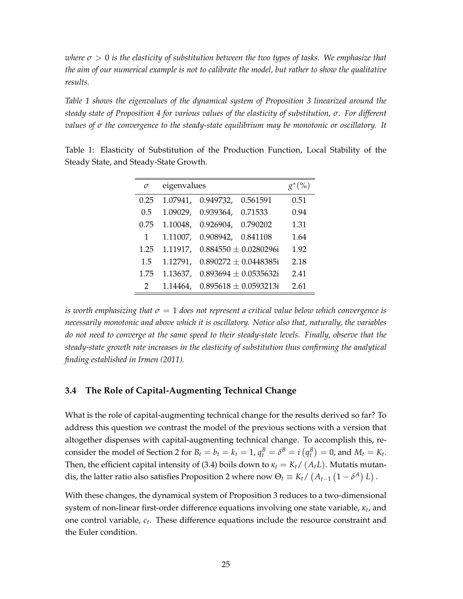*where*  $\sigma > 0$  *is the elasticity of substitution between the two types of tasks. We emphasize that the aim of our numerical example is not to calibrate the model, but rather to show the qualitative results.*

*Table 1 shows the eigenvalues of the dynamical system of Proposition 3 linearized around the steady state of Proposition 4 for various values of the elasticity of substitution, σ. For different values of σ the convergence to the steady-state equilibrium may be monotonic or oscillatory. It*

| $\sigma$      | eigenvalues |                    |                           | $g^*(\%)$ |
|---------------|-------------|--------------------|---------------------------|-----------|
| 0.25          | 1.07941,    | 0.949732,          | 0.561591                  | 0.51      |
| 0.5           | 1.09029,    | 0.939364,          | 0.71533                   | 0.94      |
| 0.75          | 1.10048,    | 0.926904,          | 0.790202                  | 1.31      |
| $\mathbf{1}$  | 1.11007,    | 0.908942, 0.841108 |                           | 1.64      |
| 1.25          | 1.11917,    |                    | $0.884550 \pm 0.0280296i$ | 1.92      |
| 1.5           | 1.12791,    |                    | $0.890272 \pm 0.0448385i$ | 2.18      |
| 1.75          | 1.13637,    |                    | $0.893694 \pm 0.0535632i$ | 2.41      |
| $\mathcal{P}$ | 1.14464,    |                    | $0.895618 \pm 0.0593213i$ | 2.61      |

Table 1: Elasticity of Substitution of the Production Function, Local Stability of the Steady State, and Steady-State Growth.

*is worth emphasizing that*  $\sigma = 1$  *does not represent a critical value below which convergence is necessarily monotonic and above which it is oscillatory. Notice also that, naturally, the variables do not need to converge at the same speed to their steady-state levels. Finally, observe that the steady-state growth rate increases in the elasticity of substitution thus confirming the analytical finding established in Irmen (2011).*

#### **3.4 The Role of Capital-Augmenting Technical Change**

What is the role of capital-augmenting technical change for the results derived so far? To address this question we contrast the model of the previous sections with a version that altogether dispenses with capital-augmenting technical change. To accomplish this, reconsider the model of Section 2 for  $B_t = b_t = k_t = 1$ ,  $q_t^B = \delta^B = i (q_t^B) = 0$ , and  $M_t = K_t$ . Then, the efficient capital intensity of (3.4) boils down to  $\kappa_t = K_t / (A_t L)$ . Mutatis mutandis, the latter ratio also satisfies Proposition 2 where now  $\Theta_t \equiv K_t / \left(A_{t-1} \left(1 - \delta^A\right) L\right)$ .

With these changes, the dynamical system of Proposition 3 reduces to a two-dimensional system of non-linear first-order difference equations involving one state variable, *κ<sup>t</sup>* , and one control variable, *c<sup>t</sup>* . These difference equations include the resource constraint and the Euler condition.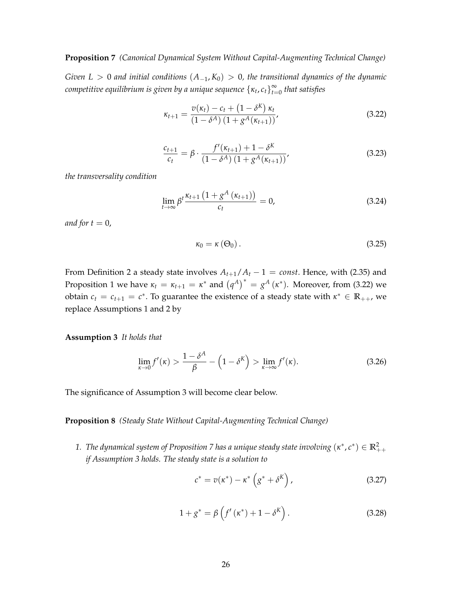#### **Proposition 7** *(Canonical Dynamical System Without Capital-Augmenting Technical Change)*

*Given L* > 0 *and initial conditions* (*A*−1, *K*0) > 0*, the transitional dynamics of the dynamic*  $\mathit{complete} \left\{ \kappa_{t}, c_{t} \right\}_{t=1}^{\infty}$ *t*=0 *that satisfies*

$$
\kappa_{t+1} = \frac{v(\kappa_t) - c_t + (1 - \delta^K) \kappa_t}{(1 - \delta^A) (1 + g^A(\kappa_{t+1}))},
$$
\n(3.22)

$$
\frac{c_{t+1}}{c_t} = \beta \cdot \frac{f'(\kappa_{t+1}) + 1 - \delta^K}{(1 - \delta^A) (1 + g^A(\kappa_{t+1}))'},
$$
\n(3.23)

*the transversality condition*

$$
\lim_{t \to \infty} \beta^t \frac{\kappa_{t+1} \left( 1 + g^A \left( \kappa_{t+1} \right) \right)}{c_t} = 0,
$$
\n(3.24)

*and for*  $t = 0$ ,

$$
\kappa_0 = \kappa\left(\Theta_0\right). \tag{3.25}
$$

From Definition 2 a steady state involves  $A_{t+1}/A_t - 1 = \text{const.}$  Hence, with (2.35) and Proposition 1 we have  $\kappa_t = \kappa_{t+1} = \kappa^*$  and  $(q^A)^* = g^A(\kappa^*)$ . Moreover, from (3.22) we obtain  $c_t = c_{t+1} = c^*$ . To guarantee the existence of a steady state with  $\kappa^* \in \mathbb{R}_{++}$ , we replace Assumptions 1 and 2 by

**Assumption 3** *It holds that*

$$
\lim_{\kappa \to 0} f'(\kappa) > \frac{1 - \delta^A}{\beta} - \left(1 - \delta^K\right) > \lim_{\kappa \to \infty} f'(\kappa). \tag{3.26}
$$

The significance of Assumption 3 will become clear below.

**Proposition 8** *(Steady State Without Capital-Augmenting Technical Change)*

 $1.$  *The dynamical system of Proposition 7 has a unique steady state involving*  $(\kappa^*, c^*) \in \mathbb{R}^2_{++}$ *if Assumption 3 holds. The steady state is a solution to*

$$
c^* = v(\kappa^*) - \kappa^* \left( g^* + \delta^K \right), \tag{3.27}
$$

$$
1 + g^* = \beta \left( f' \left( \kappa^* \right) + 1 - \delta^K \right). \tag{3.28}
$$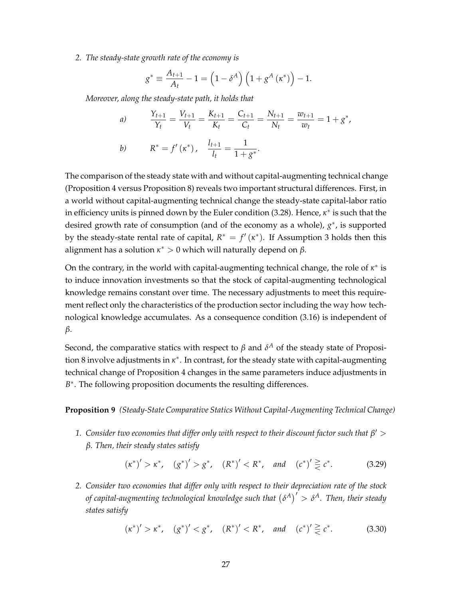*2. The steady-state growth rate of the economy is*

$$
g^* \equiv \frac{A_{t+1}}{A_t} - 1 = \left(1 - \delta^A\right) \left(1 + g^A\left(\kappa^*\right)\right) - 1.
$$

*Moreover, along the steady-state path, it holds that*

a) 
$$
\frac{Y_{t+1}}{Y_t} = \frac{V_{t+1}}{V_t} = \frac{K_{t+1}}{K_t} = \frac{C_{t+1}}{C_t} = \frac{N_{t+1}}{N_t} = \frac{w_{t+1}}{w_t} = 1 + g^*,
$$
  
b) 
$$
R^* = f'(\kappa^*), \quad \frac{l_{t+1}}{l_t} = \frac{1}{1 + g^*}.
$$

The comparison of the steady state with and without capital-augmenting technical change (Proposition 4 versus Proposition 8) reveals two important structural differences. First, in a world without capital-augmenting technical change the steady-state capital-labor ratio in efficiency units is pinned down by the Euler condition (3.28). Hence, *κ* ∗ is such that the desired growth rate of consumption (and of the economy as a whole),  $g^*$ , is supported by the steady-state rental rate of capital,  $R^* = f'(k^*)$ . If Assumption 3 holds then this alignment has a solution *κ* <sup>∗</sup> > 0 which will naturally depend on *β*.

On the contrary, in the world with capital-augmenting technical change, the role of  $\kappa^*$  is to induce innovation investments so that the stock of capital-augmenting technological knowledge remains constant over time. The necessary adjustments to meet this requirement reflect only the characteristics of the production sector including the way how technological knowledge accumulates. As a consequence condition (3.16) is independent of *β*.

Second, the comparative statics with respect to  $\beta$  and  $\delta^A$  of the steady state of Proposition 8 involve adjustments in *κ*<sup>\*</sup>. In contrast, for the steady state with capital-augmenting technical change of Proposition 4 changes in the same parameters induce adjustments in B<sup>\*</sup>. The following proposition documents the resulting differences.

**Proposition 9** *(Steady-State Comparative Statics Without Capital-Augmenting Technical Change)*

*1. Consider two economies that differ only with respect to their discount factor such that*  $\beta' > 0$ *β. Then, their steady states satisfy*

$$
(\kappa^*)' > \kappa^*, \quad (g^*)' > g^*, \quad (R^*)' < R^*, \quad \text{and} \quad (c^*)' \geq c^*.
$$
 (3.29)

*2. Consider two economies that differ only with respect to their depreciation rate of the stock* of capital-augmenting technological knowledge such that  $\left(\delta^A\right)' > \delta^A$ . Then, their steady *states satisfy*

$$
(\kappa^*)' > \kappa^*, \quad (g^*)' < g^*, \quad (R^*)' < R^*, \quad \text{and} \quad (c^*)' \geq c^*.
$$
 (3.30)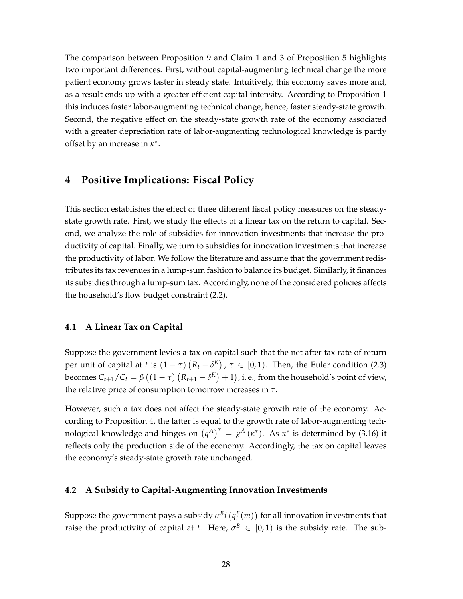The comparison between Proposition 9 and Claim 1 and 3 of Proposition 5 highlights two important differences. First, without capital-augmenting technical change the more patient economy grows faster in steady state. Intuitively, this economy saves more and, as a result ends up with a greater efficient capital intensity. According to Proposition 1 this induces faster labor-augmenting technical change, hence, faster steady-state growth. Second, the negative effect on the steady-state growth rate of the economy associated with a greater depreciation rate of labor-augmenting technological knowledge is partly offset by an increase in *κ* ∗ .

## **4 Positive Implications: Fiscal Policy**

This section establishes the effect of three different fiscal policy measures on the steadystate growth rate. First, we study the effects of a linear tax on the return to capital. Second, we analyze the role of subsidies for innovation investments that increase the productivity of capital. Finally, we turn to subsidies for innovation investments that increase the productivity of labor. We follow the literature and assume that the government redistributes its tax revenues in a lump-sum fashion to balance its budget. Similarly, it finances its subsidies through a lump-sum tax. Accordingly, none of the considered policies affects the household's flow budget constraint (2.2).

#### **4.1 A Linear Tax on Capital**

Suppose the government levies a tax on capital such that the net after-tax rate of return per unit of capital at *t* is  $(1 - \tau) (R_t - \delta^K)$ ,  $\tau \in [0, 1)$ . Then, the Euler condition (2.3) becomes  $C_{t+1}/C_t = \beta\left((1-\tau)\left(R_{t+1}-\delta^K\right)+1\right)$ , i. e., from the household's point of view, the relative price of consumption tomorrow increases in *τ*.

However, such a tax does not affect the steady-state growth rate of the economy. According to Proposition 4, the latter is equal to the growth rate of labor-augmenting technological knowledge and hinges on  $(q^A)^* = g^A(\kappa^*)$ . As  $\kappa^*$  is determined by (3.16) it reflects only the production side of the economy. Accordingly, the tax on capital leaves the economy's steady-state growth rate unchanged.

#### **4.2 A Subsidy to Capital-Augmenting Innovation Investments**

Suppose the government pays a subsidy  $\sigma^{B}i\left(q^{B}_{t}(m)\right)$  for all innovation investments that raise the productivity of capital at *t*. Here,  $\sigma^B \in [0,1)$  is the subsidy rate. The sub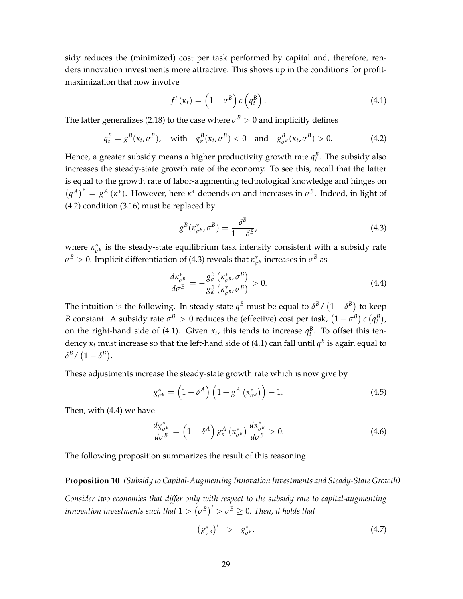sidy reduces the (minimized) cost per task performed by capital and, therefore, renders innovation investments more attractive. This shows up in the conditions for profitmaximization that now involve

$$
f'(\kappa_t) = \left(1 - \sigma^B\right) c\left(q_t^B\right). \tag{4.1}
$$

The latter generalizes (2.18) to the case where  $\sigma^B > 0$  and implicitly defines

$$
q_t^B = g^B(\kappa_t, \sigma^B), \quad \text{with} \quad g^B_\kappa(\kappa_t, \sigma^B) < 0 \quad \text{and} \quad g^B_{\sigma^B}(\kappa_t, \sigma^B) > 0. \tag{4.2}
$$

Hence, a greater subsidy means a higher productivity growth rate  $q_t^B$ . The subsidy also increases the steady-state growth rate of the economy. To see this, recall that the latter is equal to the growth rate of labor-augmenting technological knowledge and hinges on  $(q^A)^* = g^A(\kappa^*)$ . However, here  $\kappa^*$  depends on and increases in  $\sigma^B$ . Indeed, in light of (4.2) condition (3.16) must be replaced by

$$
g^B(\kappa_{\sigma^B}^*, \sigma^B) = \frac{\delta^B}{1 - \delta^B},\tag{4.3}
$$

where  $\kappa^*_{\sigma}$  $\sigma^*$  is the steady-state equilibrium task intensity consistent with a subsidy rate  $\sigma^B > 0$ . Implicit differentiation of (4.3) reveals that  $\kappa_\sigma^*$  $\sigma^B$  increases in  $\sigma^B$  as

$$
\frac{d\kappa_{\sigma^B}^*}{d\sigma^B} = -\frac{g^B_{\sigma}(\kappa_{\sigma^B}^*, \sigma^B)}{g^B_{\kappa}(\kappa_{\sigma^B}^*, \sigma^B)} > 0.
$$
\n(4.4)

The intuition is the following. In steady state  $q^B$  must be equal to  $\delta^B / (1 - \delta^B)$  to keep *B* constant. A subsidy rate  $\sigma^B > 0$  reduces the (effective) cost per task,  $(1 - \sigma^B) c (q_t^B)$ , on the right-hand side of (4.1). Given  $\kappa_t$ , this tends to increase  $q_t^B$ . To offset this tendency  $\kappa_t$  must increase so that the left-hand side of (4.1) can fall until  $q^B$  is again equal to  $\delta^B/\left(1-\delta^B\right)$ .

These adjustments increase the steady-state growth rate which is now give by

$$
g_{\sigma^B}^* = \left(1 - \delta^A\right) \left(1 + g^A\left(\kappa_{\sigma^B}^*\right)\right) - 1. \tag{4.5}
$$

Then, with (4.4) we have

$$
\frac{d\mathcal{S}_{\sigma^B}^*}{d\sigma^B} = \left(1 - \delta^A\right) \mathcal{S}_{\kappa}^A \left(\kappa_{\sigma^B}^*\right) \frac{d\kappa_{\sigma^B}^*}{d\sigma^B} > 0. \tag{4.6}
$$

The following proposition summarizes the result of this reasoning.

#### **Proposition 10** *(Subsidy to Capital-Augmenting Innovation Investments and Steady-State Growth)*

*Consider two economies that differ only with respect to the subsidy rate to capital-augmenting*  $i$ nnovation investments such that  $1 > \left(\sigma^B\right)' > \sigma^B \geq 0.$  Then, it holds that

$$
\left(g_{\sigma^B}^*\right)' > g_{\sigma^B}^*.
$$
\n
$$
(4.7)
$$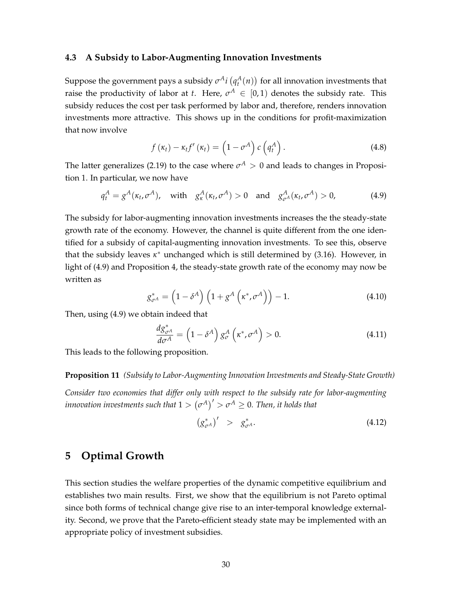#### **4.3 A Subsidy to Labor-Augmenting Innovation Investments**

Suppose the government pays a subsidy  $\sigma^{A}i\left(q^{A}_{t}(n)\right)$  for all innovation investments that raise the productivity of labor at *t*. Here,  $\sigma^A \in [0,1)$  denotes the subsidy rate. This subsidy reduces the cost per task performed by labor and, therefore, renders innovation investments more attractive. This shows up in the conditions for profit-maximization that now involve

$$
f(\kappa_t) - \kappa_t f'(\kappa_t) = \left(1 - \sigma^A\right) c\left(q_t^A\right). \tag{4.8}
$$

The latter generalizes (2.19) to the case where  $\sigma^A > 0$  and leads to changes in Proposition 1. In particular, we now have

$$
q_t^A = g^A(\kappa_t, \sigma^A), \quad \text{with} \quad g_\kappa^A(\kappa_t, \sigma^A) > 0 \quad \text{and} \quad g_{\sigma^A}^A(\kappa_t, \sigma^A) > 0,
$$
 (4.9)

The subsidy for labor-augmenting innovation investments increases the the steady-state growth rate of the economy. However, the channel is quite different from the one identified for a subsidy of capital-augmenting innovation investments. To see this, observe that the subsidy leaves *κ* <sup>∗</sup> unchanged which is still determined by (3.16). However, in light of (4.9) and Proposition 4, the steady-state growth rate of the economy may now be written as

$$
g_{\sigma^A}^* = \left(1 - \delta^A\right) \left(1 + g^A\left(\kappa^*, \sigma^A\right)\right) - 1. \tag{4.10}
$$

Then, using (4.9) we obtain indeed that

$$
\frac{d g_{\sigma^A}^*}{d \sigma^A} = \left(1 - \delta^A\right) g_{\sigma}^A \left(\kappa^*, \sigma^A\right) > 0. \tag{4.11}
$$

This leads to the following proposition.

#### **Proposition 11** *(Subsidy to Labor-Augmenting Innovation Investments and Steady-State Growth)*

*Consider two economies that differ only with respect to the subsidy rate for labor-augmenting*  $i$ nnovation investments such that  $1 > \left(\sigma^A\right)' > \sigma^A \geq 0$ . Then, it holds that

$$
\left(g_{\sigma^A}^*\right)' > g_{\sigma^A}^*.
$$
\n
$$
(4.12)
$$

## **5 Optimal Growth**

This section studies the welfare properties of the dynamic competitive equilibrium and establishes two main results. First, we show that the equilibrium is not Pareto optimal since both forms of technical change give rise to an inter-temporal knowledge externality. Second, we prove that the Pareto-efficient steady state may be implemented with an appropriate policy of investment subsidies.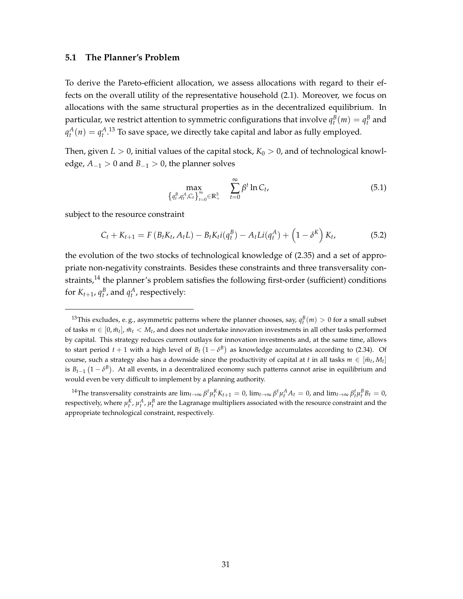#### **5.1 The Planner's Problem**

To derive the Pareto-efficient allocation, we assess allocations with regard to their effects on the overall utility of the representative household (2.1). Moreover, we focus on allocations with the same structural properties as in the decentralized equilibrium. In particular, we restrict attention to symmetric configurations that involve  $q_t^B(m) = q_t^B$  and  $q_t^A(n) = q_t^{A.13}$  To save space, we directly take capital and labor as fully employed.

Then, given  $L > 0$ , initial values of the capital stock,  $K_0 > 0$ , and of technological knowledge,  $A_{-1} > 0$  and  $B_{-1} > 0$ , the planner solves

$$
\max_{\left\{q_t^B, q_t^A, C_t\right\}_{t=0}^\infty \in \mathbb{R}_+^3} \quad \sum_{t=0}^\infty \beta^t \ln C_t,\tag{5.1}
$$

subject to the resource constraint

$$
C_t + K_{t+1} = F(B_t K_t, A_t L) - B_t K_t i(q_t^B) - A_t Li(q_t^A) + (1 - \delta^K) K_t,
$$
\n(5.2)

the evolution of the two stocks of technological knowledge of (2.35) and a set of appropriate non-negativity constraints. Besides these constraints and three transversality constraints,<sup>14</sup> the planner's problem satisfies the following first-order (sufficient) conditions for  $K_{t+1}$ ,  $q_t^B$ , and  $q_t^A$ , respectively:

<sup>&</sup>lt;sup>13</sup>This excludes, e.g., asymmetric patterns where the planner chooses, say,  $q_t^B(m) > 0$  for a small subset of tasks  $m \in [0, \bar{m}_t]$ ,  $\bar{m}_t < M_t$ , and does not undertake innovation investments in all other tasks performed by capital. This strategy reduces current outlays for innovation investments and, at the same time, allows to start period  $t + 1$  with a high level of  $B_t\left(1 - \delta^B\right)$  as knowledge accumulates according to (2.34). Of course, such a strategy also has a downside since the productivity of capital at *t* in all tasks  $m \in [\bar{m}_t, M_t]$ is  $B_{t-1}$   $(1 - \delta^B)$ . At all events, in a decentralized economy such patterns cannot arise in equilibrium and would even be very difficult to implement by a planning authority.

<sup>&</sup>lt;sup>14</sup>The transversality constraints are  $\lim_{t\to\infty} \beta^t \mu_i^K K_{t+1} = 0$ ,  $\lim_{t\to\infty} \beta^t \mu_i^A A_t = 0$ , and  $\lim_{t\to\infty} \beta^t_i \mu_i^B B_t = 0$ , respectively, where  $\mu_t^K$ ,  $\mu_t^A$ ,  $\mu_t^B$  are the Lagranage multipliers associated with the resource constraint and the appropriate technological constraint, respectively.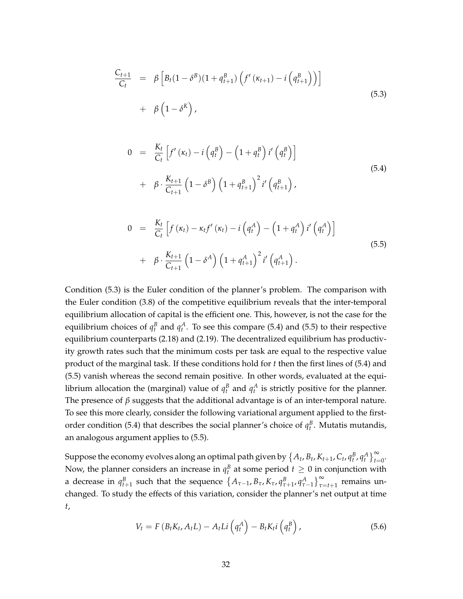$$
\frac{C_{t+1}}{C_t} = \beta \left[ B_t (1 - \delta^B)(1 + q_{t+1}^B) \left( f' \left( \kappa_{t+1} \right) - i \left( q_{t+1}^B \right) \right) \right]
$$
\n
$$
+ \beta \left( 1 - \delta^K \right), \tag{5.3}
$$

$$
0 = \frac{K_t}{C_t} \left[ f'(\kappa_t) - i \left( q_t^B \right) - \left( 1 + q_t^B \right) i' \left( q_t^B \right) \right]
$$
  
+ 
$$
\beta \cdot \frac{K_{t+1}}{C_{t+1}} \left( 1 - \delta^B \right) \left( 1 + q_{t+1}^B \right)^2 i' \left( q_{t+1}^B \right),
$$
  

$$
K_t = \beta \cdot \frac{K_t}{C_t} \left( 1 + q_t^B \right)^2 \left( 1 + q_{t+1}^B \right)^2
$$

$$
0 = \frac{K_t}{C_t} \left[ f(\kappa_t) - \kappa_t f'(\kappa_t) - i \left( q_t^A \right) - \left( 1 + q_t^A \right) i' \left( q_t^A \right) \right]
$$
  
+ 
$$
\beta \cdot \frac{K_{t+1}}{C_{t+1}} \left( 1 - \delta^A \right) \left( 1 + q_{t+1}^A \right)^2 i' \left( q_{t+1}^A \right).
$$
 (5.5)

Condition (5.3) is the Euler condition of the planner's problem. The comparison with the Euler condition (3.8) of the competitive equilibrium reveals that the inter-temporal equilibrium allocation of capital is the efficient one. This, however, is not the case for the equilibrium choices of  $q_t^B$  and  $q_t^A$ . To see this compare (5.4) and (5.5) to their respective equilibrium counterparts (2.18) and (2.19). The decentralized equilibrium has productivity growth rates such that the minimum costs per task are equal to the respective value product of the marginal task. If these conditions hold for *t* then the first lines of (5.4) and (5.5) vanish whereas the second remain positive. In other words, evaluated at the equilibrium allocation the (marginal) value of  $q_t^B$  and  $q_t^A$  is strictly positive for the planner. The presence of  $\beta$  suggests that the additional advantage is of an inter-temporal nature. To see this more clearly, consider the following variational argument applied to the firstorder condition (5.4) that describes the social planner's choice of  $q_t^B$ . Mutatis mutandis, an analogous argument applies to (5.5).

Suppose the economy evolves along an optimal path given by  $\left\{A_t, B_t, K_{t+1}, C_t, q_t^B, q_t^A\right\}_{t=0}^{\infty}$ . Now, the planner considers an increase in  $q_t^B$  at some period  $t \geq 0$  in conjunction with a decrease in  $q_{t+1}^B$  such that the sequence  $\{A_{\tau-1}, B_{\tau}, K_{\tau}, q_{\tau+1}^B, q_{\tau-1}^A\}_{\tau=t+1}^{\infty}$  remains unchanged. To study the effects of this variation, consider the planner's net output at time *t*,

$$
V_t = F(B_t K_t, A_t L) - A_t L i \left( q_t^A \right) - B_t K_t i \left( q_t^B \right), \qquad (5.6)
$$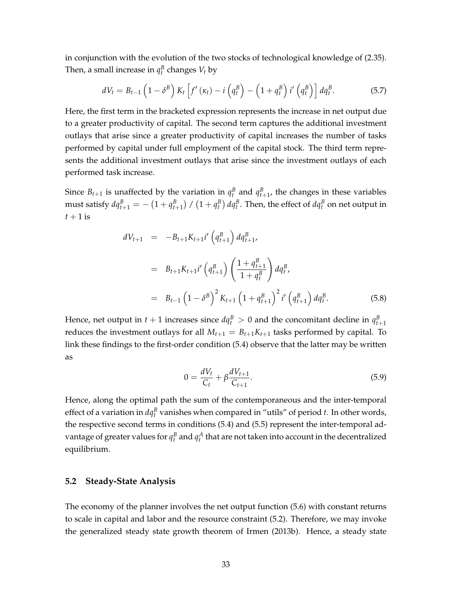in conjunction with the evolution of the two stocks of technological knowledge of (2.35). Then, a small increase in  $q_t^B$  changes  $V_t$  by

$$
dV_t = B_{t-1} \left( 1 - \delta^B \right) K_t \left[ f' \left( \kappa_t \right) - i \left( q_t^B \right) - \left( 1 + q_t^B \right) i' \left( q_t^B \right) \right] d q_t^B. \tag{5.7}
$$

Here, the first term in the bracketed expression represents the increase in net output due to a greater productivity of capital. The second term captures the additional investment outlays that arise since a greater productivity of capital increases the number of tasks performed by capital under full employment of the capital stock. The third term represents the additional investment outlays that arise since the investment outlays of each performed task increase.

Since  $B_{t+1}$  is unaffected by the variation in  $q_t^B$  and  $q_{t+1}^B$ , the changes in these variables must satisfy  $dq_{t+1}^B = -\left(1+q_{t+1}^B\right)/\left(1+q_t^B\right) dq_t^B$ . Then, the effect of  $dq_t^B$  on net output in  $t + 1$  is

$$
dV_{t+1} = -B_{t+1}K_{t+1}i'\left(q_{t+1}^B\right)dq_{t+1}^B,
$$
  
\n
$$
= B_{t+1}K_{t+1}i'\left(q_{t+1}^B\right)\left(\frac{1+q_{t+1}^B}{1+q_t^B}\right)dq_t^B,
$$
  
\n
$$
= B_{t-1}\left(1-\delta^B\right)^2K_{t+1}\left(1+q_{t+1}^B\right)^2i'\left(q_{t+1}^B\right)dq_t^B.
$$
\n(5.8)

Hence, net output in  $t + 1$  increases since  $dq_t^B > 0$  and the concomitant decline in  $q_{t+1}^B$ reduces the investment outlays for all  $M_{t+1} = B_{t+1}K_{t+1}$  tasks performed by capital. To link these findings to the first-order condition (5.4) observe that the latter may be written as

$$
0 = \frac{dV_t}{C_t} + \beta \frac{dV_{t+1}}{C_{t+1}}.\tag{5.9}
$$

Hence, along the optimal path the sum of the contemporaneous and the inter-temporal effect of a variation in  $dq_t^B$  vanishes when compared in "utils" of period *t*. In other words, the respective second terms in conditions (5.4) and (5.5) represent the inter-temporal advantage of greater values for  $q_t^B$  and  $q_t^A$  that are not taken into account in the decentralized equilibrium.

#### **5.2 Steady-State Analysis**

The economy of the planner involves the net output function (5.6) with constant returns to scale in capital and labor and the resource constraint (5.2). Therefore, we may invoke the generalized steady state growth theorem of Irmen (2013b). Hence, a steady state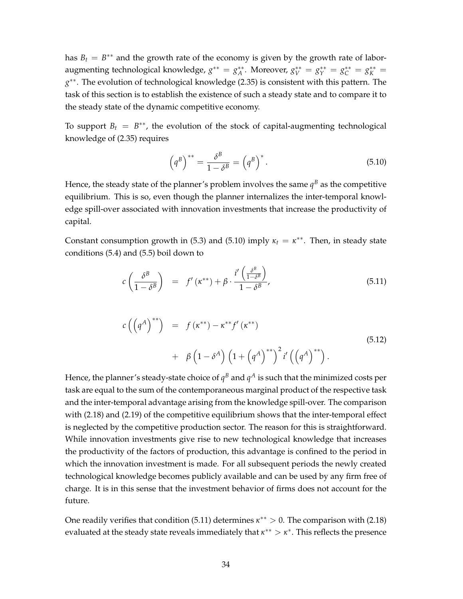has  $B_t = B^{**}$  and the growth rate of the economy is given by the growth rate of laboraugmenting technological knowledge,  $g^{**} = g_A^{**}$ . Moreover,  $g_V^{**} = g_Y^{**} = g_C^{**} = g_K^{**} = g_K^{**}$ *g* ∗∗. The evolution of technological knowledge (2.35) is consistent with this pattern. The task of this section is to establish the existence of such a steady state and to compare it to the steady state of the dynamic competitive economy.

To support  $B_t = B^{**}$ , the evolution of the stock of capital-augmenting technological knowledge of (2.35) requires

$$
\left(q^B\right)^{**} = \frac{\delta^B}{1 - \delta^B} = \left(q^B\right)^*.
$$
\n(5.10)

Hence, the steady state of the planner's problem involves the same  $q^B$  as the competitive equilibrium. This is so, even though the planner internalizes the inter-temporal knowledge spill-over associated with innovation investments that increase the productivity of capital.

Constant consumption growth in (5.3) and (5.10) imply  $\kappa_t = \kappa^{**}$ . Then, in steady state conditions (5.4) and (5.5) boil down to

$$
c\left(\frac{\delta^B}{1-\delta^B}\right) = f'(\kappa^{**}) + \beta \cdot \frac{i'\left(\frac{\delta^B}{1-\delta^B}\right)}{1-\delta^B},
$$
\n(5.11)

$$
c\left(\left(q^{A}\right)^{**}\right) = f\left(\kappa^{**}\right) - \kappa^{**} f'\left(\kappa^{**}\right) + \beta\left(1 - \delta^{A}\right) \left(1 + \left(q^{A}\right)^{**}\right)^{2} i'\left(\left(q^{A}\right)^{**}\right).
$$
\n(5.12)

Hence, the planner's steady-state choice of  $q^B$  and  $q^A$  is such that the minimized costs per task are equal to the sum of the contemporaneous marginal product of the respective task and the inter-temporal advantage arising from the knowledge spill-over. The comparison with (2.18) and (2.19) of the competitive equilibrium shows that the inter-temporal effect is neglected by the competitive production sector. The reason for this is straightforward. While innovation investments give rise to new technological knowledge that increases the productivity of the factors of production, this advantage is confined to the period in which the innovation investment is made. For all subsequent periods the newly created technological knowledge becomes publicly available and can be used by any firm free of charge. It is in this sense that the investment behavior of firms does not account for the future.

One readily verifies that condition (5.11) determines *κ*<sup>\*\*</sup> > 0. The comparison with (2.18) evaluated at the steady state reveals immediately that *κ* ∗∗ > *κ* ∗ . This reflects the presence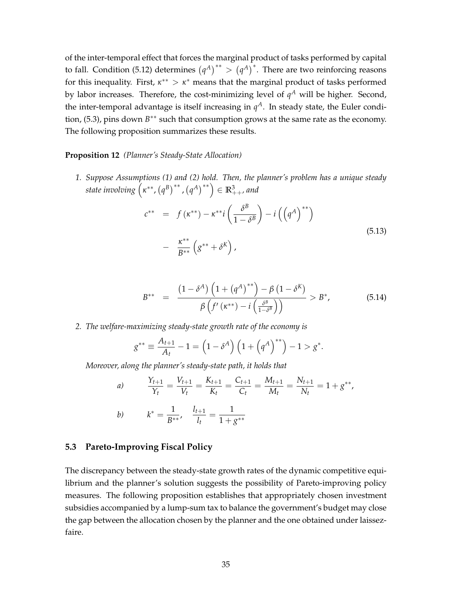of the inter-temporal effect that forces the marginal product of tasks performed by capital to fall. Condition (5.12) determines  $(q^A)^{**} > (q^A)^*$ . There are two reinforcing reasons for this inequality. First,  $κ^{**} > κ^*$  means that the marginal product of tasks performed by labor increases. Therefore, the cost-minimizing level of  $q^A$  will be higher. Second, the inter-temporal advantage is itself increasing in  $q^A$ . In steady state, the Euler condition, (5.3), pins down  $B^{**}$  such that consumption grows at the same rate as the economy. The following proposition summarizes these results.

#### **Proposition 12** *(Planner's Steady-State Allocation)*

*1. Suppose Assumptions (1) and (2) hold. Then, the planner's problem has a unique steady* state involving  $\left(\kappa^{**}, \left(q^B\right)^{**}, \left(q^A\right)^{**}\right) \in \mathbb{R}^3_{++}$ , and

$$
c^{**} = f(\kappa^{**}) - \kappa^{**}i\left(\frac{\delta^B}{1 - \delta^B}\right) - i\left(\left(q^A\right)^{**}\right)
$$
  

$$
- \frac{\kappa^{**}}{B^{**}}\left(g^{**} + \delta^K\right), \qquad (5.13)
$$

$$
B^{**} = \frac{\left(1 - \delta^A\right)\left(1 + \left(q^A\right)^{**}\right) - \beta\left(1 - \delta^K\right)}{\beta\left(f'\left(\kappa^{**}\right) - i\left(\frac{\delta^B}{1 - \delta^B}\right)\right)} > B^*,
$$
\n(5.14)

*2. The welfare-maximizing steady-state growth rate of the economy is*

$$
g^{**} \equiv \frac{A_{t+1}}{A_t} - 1 = \left(1 - \delta^A\right) \left(1 + \left(q^A\right)^{**}\right) - 1 > g^*.
$$

*Moreover, along the planner's steady-state path, it holds that*

a) 
$$
\frac{Y_{t+1}}{Y_t} = \frac{V_{t+1}}{V_t} = \frac{K_{t+1}}{K_t} = \frac{C_{t+1}}{C_t} = \frac{M_{t+1}}{M_t} = \frac{N_{t+1}}{N_t} = 1 + g^{**},
$$
  
b) 
$$
k^* = \frac{1}{B^{**}}, \quad \frac{l_{t+1}}{l_t} = \frac{1}{1 + g^{**}}
$$

#### **5.3 Pareto-Improving Fiscal Policy**

The discrepancy between the steady-state growth rates of the dynamic competitive equilibrium and the planner's solution suggests the possibility of Pareto-improving policy measures. The following proposition establishes that appropriately chosen investment subsidies accompanied by a lump-sum tax to balance the government's budget may close the gap between the allocation chosen by the planner and the one obtained under laissezfaire.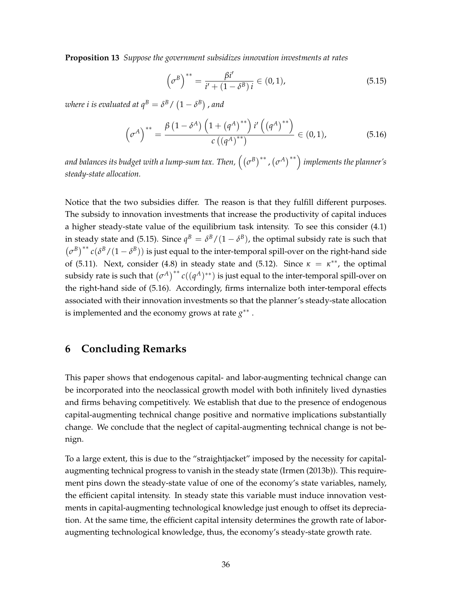**Proposition 13** *Suppose the government subsidizes innovation investments at rates*

$$
\left(\sigma^B\right)^{**} = \frac{\beta i'}{i' + (1 - \delta^B)i} \in (0, 1),\tag{5.15}
$$

where  $i$  is evaluated at  $\mathfrak{q}^B = \delta^B/\left(1 - \delta^B\right)$  , and

$$
\left(\sigma^{A}\right)^{**} = \frac{\beta\left(1-\delta^{A}\right)\left(1+\left(q^{A}\right)^{**}\right)i'\left(\left(q^{A}\right)^{**}\right)}{c\left(\left(q^{A}\right)^{**}\right)} \in (0,1),\tag{5.16}
$$

and balances its budget with a lump-sum tax. Then,  $\left( \left( \sigma^B \right)^{**}, \left( \sigma^A \right)^{**} \right)$  implements the planner's *steady-state allocation.*

Notice that the two subsidies differ. The reason is that they fulfill different purposes. The subsidy to innovation investments that increase the productivity of capital induces a higher steady-state value of the equilibrium task intensity. To see this consider (4.1) in steady state and (5.15). Since  $q^B = \delta^B / (1 - \delta^B)$ , the optimal subsidy rate is such that  $(\sigma^B)^{**} c(\delta^B/(1-\delta^B))$  is just equal to the inter-temporal spill-over on the right-hand side of (5.11). Next, consider (4.8) in steady state and (5.12). Since  $\kappa = \kappa^{**}$ , the optimal subsidy rate is such that  $(\sigma^A)^{**}$   $c((q^A)^{**})$  is just equal to the inter-temporal spill-over on the right-hand side of (5.16). Accordingly, firms internalize both inter-temporal effects associated with their innovation investments so that the planner's steady-state allocation is implemented and the economy grows at rate *g* ∗∗ .

## **6 Concluding Remarks**

This paper shows that endogenous capital- and labor-augmenting technical change can be incorporated into the neoclassical growth model with both infinitely lived dynasties and firms behaving competitively. We establish that due to the presence of endogenous capital-augmenting technical change positive and normative implications substantially change. We conclude that the neglect of capital-augmenting technical change is not benign.

To a large extent, this is due to the "straightjacket" imposed by the necessity for capitalaugmenting technical progress to vanish in the steady state (Irmen (2013b)). This requirement pins down the steady-state value of one of the economy's state variables, namely, the efficient capital intensity. In steady state this variable must induce innovation vestments in capital-augmenting technological knowledge just enough to offset its depreciation. At the same time, the efficient capital intensity determines the growth rate of laboraugmenting technological knowledge, thus, the economy's steady-state growth rate.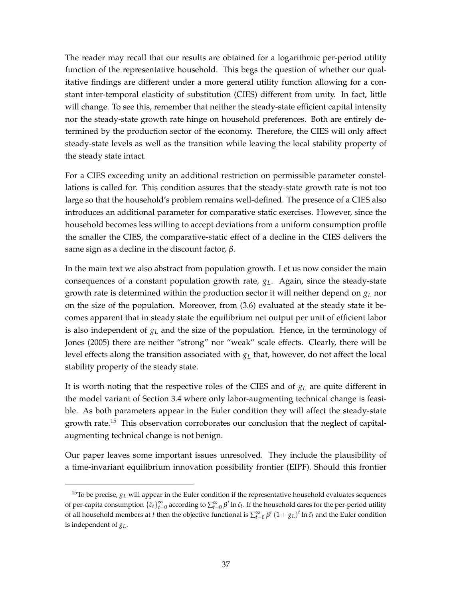The reader may recall that our results are obtained for a logarithmic per-period utility function of the representative household. This begs the question of whether our qualitative findings are different under a more general utility function allowing for a constant inter-temporal elasticity of substitution (CIES) different from unity. In fact, little will change. To see this, remember that neither the steady-state efficient capital intensity nor the steady-state growth rate hinge on household preferences. Both are entirely determined by the production sector of the economy. Therefore, the CIES will only affect steady-state levels as well as the transition while leaving the local stability property of the steady state intact.

For a CIES exceeding unity an additional restriction on permissible parameter constellations is called for. This condition assures that the steady-state growth rate is not too large so that the household's problem remains well-defined. The presence of a CIES also introduces an additional parameter for comparative static exercises. However, since the household becomes less willing to accept deviations from a uniform consumption profile the smaller the CIES, the comparative-static effect of a decline in the CIES delivers the same sign as a decline in the discount factor, *β*.

In the main text we also abstract from population growth. Let us now consider the main consequences of a constant population growth rate,  $g<sub>L</sub>$ . Again, since the steady-state growth rate is determined within the production sector it will neither depend on *g<sup>L</sup>* nor on the size of the population. Moreover, from (3.6) evaluated at the steady state it becomes apparent that in steady state the equilibrium net output per unit of efficient labor is also independent of  $g<sub>L</sub>$  and the size of the population. Hence, in the terminology of Jones (2005) there are neither "strong" nor "weak" scale effects. Clearly, there will be level effects along the transition associated with *g<sup>L</sup>* that, however, do not affect the local stability property of the steady state.

It is worth noting that the respective roles of the CIES and of *g<sup>L</sup>* are quite different in the model variant of Section 3.4 where only labor-augmenting technical change is feasible. As both parameters appear in the Euler condition they will affect the steady-state growth rate.<sup>15</sup> This observation corroborates our conclusion that the neglect of capitalaugmenting technical change is not benign.

Our paper leaves some important issues unresolved. They include the plausibility of a time-invariant equilibrium innovation possibility frontier (EIPF). Should this frontier

<sup>&</sup>lt;sup>15</sup>To be precise,  $g_L$  will appear in the Euler condition if the representative household evaluates sequences of per-capita consumption  $\{\tilde{c}_t\}_{t=0}^{\infty}$  according to  $\sum_{t=0}^{\infty} \beta^t \ln \tilde{c}_t$ . If the household cares for the per-period utility of all household members at *t* then the objective functional is  $\sum_{t=0}^{\infty} \beta^t (1 + g_L)^t \ln \tilde{c}_t$  and the Euler condition is independent of *gL*.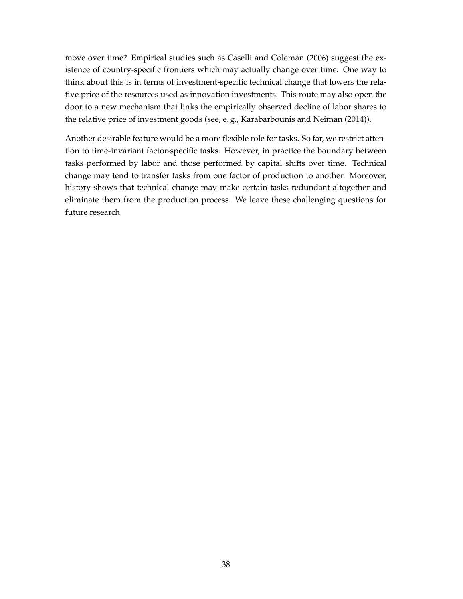move over time? Empirical studies such as Caselli and Coleman (2006) suggest the existence of country-specific frontiers which may actually change over time. One way to think about this is in terms of investment-specific technical change that lowers the relative price of the resources used as innovation investments. This route may also open the door to a new mechanism that links the empirically observed decline of labor shares to the relative price of investment goods (see, e. g., Karabarbounis and Neiman (2014)).

Another desirable feature would be a more flexible role for tasks. So far, we restrict attention to time-invariant factor-specific tasks. However, in practice the boundary between tasks performed by labor and those performed by capital shifts over time. Technical change may tend to transfer tasks from one factor of production to another. Moreover, history shows that technical change may make certain tasks redundant altogether and eliminate them from the production process. We leave these challenging questions for future research.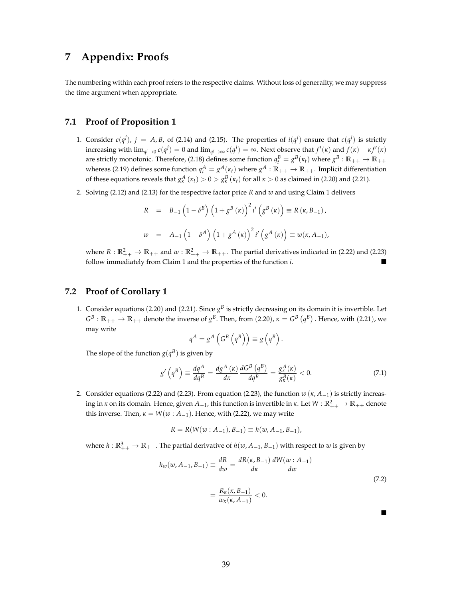## **7 Appendix: Proofs**

The numbering within each proof refers to the respective claims. Without loss of generality, we may suppress the time argument when appropriate.

#### **7.1 Proof of Proposition 1**

- 1. Consider  $c(q^j)$ ,  $j = A$ , B, of (2.14) and (2.15). The properties of  $i(q^j)$  ensure that  $c(q^j)$  is strictly increasing with  $\lim_{q^j\to 0} c(q^j) = 0$  and  $\lim_{q^j\to \infty} c(q^j) = \infty$ . Next observe that  $f'(k)$  and  $f(k) - \kappa f'(k)$ are strictly monotonic. Therefore, (2.18) defines some function  $q_t^B = g^B(\kappa_t)$  where  $g^B : \mathbb{R}_{++} \to \mathbb{R}_{++}$ whereas (2.19) defines some function  $q_t^A = g^A(\kappa_t)$  where  $g^A : \mathbb{R}_{++} \to \mathbb{R}_{++}$ . Implicit differentiation of these equations reveals that  $g^A_\kappa(\kappa_t) > 0 > g^B_\kappa(\kappa_t)$  for all  $\kappa > 0$  as claimed in (2.20) and (2.21).
- 2. Solving (2.12) and (2.13) for the respective factor price *R* and *w* and using Claim 1 delivers

$$
R = B_{-1} (1 - \delta^{B}) (1 + g^{B} (\kappa))^{2} i' (g^{B} (\kappa)) \equiv R (\kappa, B_{-1}),
$$
  

$$
w = A_{-1} (1 - \delta^{A}) (1 + g^{A} (\kappa))^{2} i' (g^{A} (\kappa)) \equiv w(\kappa, A_{-1}),
$$

where  $R: \mathbb{R}^2_{++} \to \mathbb{R}_{++}$  and  $w: \mathbb{R}^2_{++} \to \mathbb{R}_{++}$ . The partial derivatives indicated in (2.22) and (2.23) follow immediately from Claim 1 and the properties of the function *i*.

#### **7.2 Proof of Corollary 1**

1. Consider equations (2.20) and (2.21). Since  $g^B$  is strictly decreasing on its domain it is invertible. Let  $G^B:{\mathbb R}_{++}\to{\mathbb R}_{++}$  denote the inverse of  $g^B.$  Then, from (2.20),  $\kappa=G^B\left(q^B\right).$  Hence, with (2.21), we may write

$$
q^A = g^A \left( G^B \left( q^B \right) \right) \equiv g \left( q^B \right).
$$

The slope of the function  $g(q^B)$  is given by

$$
g'\left(q^B\right) \equiv \frac{dq^A}{dq^B} = \frac{dg^A\left(\kappa\right)}{d\kappa} \frac{dG^B\left(q^B\right)}{dq^B} = \frac{g^A_\kappa(\kappa)}{g^B_\kappa(\kappa)} < 0. \tag{7.1}
$$

2. Consider equations (2.22) and (2.23). From equation (2.23), the function *w* (*κ*, *A*−1) is strictly increas- $\limsup$  in  $\kappa$  on its domain. Hence, given  $A_{-1}$ , this function is invertible in  $\kappa$ . Let  $W: \mathbb{R}^2_{++} \to \mathbb{R}_{++}$  denote this inverse. Then,  $\kappa = W(w : A_{-1})$ . Hence, with (2.22), we may write

$$
R = R(W(w : A_{-1}), B_{-1}) \equiv h(w, A_{-1}, B_{-1}),
$$

where  $h:\mathbb{R}^3_{++}\to\mathbb{R}_{++}.$  The partial derivative of  $h(w,A_{-1},B_{-1})$  with respect to  $w$  is given by

$$
h_w(w, A_{-1}, B_{-1}) \equiv \frac{dR}{dw} = \frac{dR(\kappa, B_{-1})}{d\kappa} \frac{dW(w : A_{-1})}{dw}
$$
  
= 
$$
\frac{R_{\kappa}(\kappa, B_{-1})}{w_{\kappa}(\kappa, A_{-1})} < 0.
$$
 (7.2)

Ë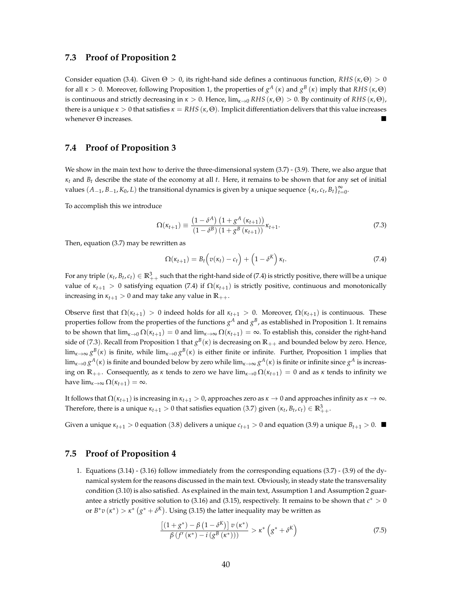#### **7.3 Proof of Proposition 2**

Consider equation (3.4). Given Θ > 0, its right-hand side defines a continuous function, *RHS* (*κ*, Θ) > 0 for all  $\kappa > 0$ . Moreover, following Proposition 1, the properties of  $g^A(\kappa)$  and  $g^B(\kappa)$  imply that  $RHS(\kappa,\Theta)$ is continuous and strictly decreasing in  $κ > 0$ . Hence,  $\lim_{κ \to 0} RHS$  ( $κ, Θ$ ) > 0. By continuity of *RHS* ( $κ, Θ$ ), there is a unique  $κ > 0$  that satisfies  $κ = RHS (κ, Θ)$ . Implicit differentiation delivers that this value increases whenever Θ increases.

#### **7.4 Proof of Proposition 3**

We show in the main text how to derive the three-dimensional system (3.7) - (3.9). There, we also argue that  $\kappa_t$  and  $B_t$  describe the state of the economy at all *t*. Here, it remains to be shown that for any set of initial values  $(A_{-1}, B_{-1}, K_0, L)$  the transitional dynamics is given by a unique sequence  $\{\kappa_t, c_t, B_t\}_{t=0}^{\infty}$ .

To accomplish this we introduce

$$
\Omega(\kappa_{t+1}) \equiv \frac{(1 - \delta^A) (1 + g^A (\kappa_{t+1}))}{(1 - \delta^B) (1 + g^B (\kappa_{t+1}))} \kappa_{t+1}.
$$
\n(7.3)

Then, equation (3.7) may be rewritten as

$$
\Omega(\kappa_{t+1}) = B_t \left( v(\kappa_t) - c_t \right) + \left( 1 - \delta^K \right) \kappa_t. \tag{7.4}
$$

For any triple  $(\kappa_t,B_t,c_t)\in\mathbb{R}^3_{++}$  such that the right-hand side of (7.4) is strictly positive, there will be a unique value of  $\kappa_{t+1} > 0$  satisfying equation (7.4) if  $\Omega(\kappa_{t+1})$  is strictly positive, continuous and monotonically increasing in  $\kappa_{t+1} > 0$  and may take any value in  $\mathbb{R}_{++}$ .

Observe first that  $Ω(\kappa_{t+1}) > 0$  indeed holds for all  $\kappa_{t+1} > 0$ . Moreover,  $Ω(\kappa_{t+1})$  is continuous. These properties follow from the properties of the functions  $g^A$  and  $g^B$ , as established in Proposition 1. It remains to be shown that  $\lim_{\kappa\to 0} \Omega(\kappa_{t+1}) = 0$  and  $\lim_{\kappa\to\infty} \Omega(\kappa_{t+1}) = \infty$ . To establish this, consider the right-hand side of (7.3). Recall from Proposition 1 that  $g^B(\kappa)$  is decreasing on  $\mathbb{R}_{++}$  and bounded below by zero. Hence,  $\lim_{\kappa\to\infty} g^B(\kappa)$  is finite, while  $\lim_{\kappa\to 0} g^B(\kappa)$  is either finite or infinite. Further, Proposition 1 implies that  $\lim_{\kappa\to 0} g^A(\kappa)$  is finite and bounded below by zero while  $\lim_{\kappa\to\infty} g^A(\kappa)$  is finite or infinite since  $g^A$  is increasing on  $\mathbb{R}_{++}$ . Consequently, as *κ* tends to zero we have  $\lim_{k\to 0} \Omega(\kappa_{t+1}) = 0$  and as *κ* tends to infinity we have  $\lim_{\kappa \to \infty} \Omega(\kappa_{t+1}) = \infty$ .

It follows that  $\Omega(\kappa_{t+1})$  is increasing in  $\kappa_{t+1} > 0$ , approaches zero as  $\kappa \to 0$  and approaches infinity as  $\kappa \to \infty$ . Therefore, there is a unique  $\kappa_{t+1} > 0$  that satisfies equation (3.7) given  $(\kappa_t, B_t, c_t) \in \mathbb{R}^3_{++}$ .

Given a unique  $\kappa_{t+1} > 0$  equation (3.8) delivers a unique  $c_{t+1} > 0$  and equation (3.9) a unique  $B_{t+1} > 0$ .

#### **7.5 Proof of Proposition 4**

1. Equations (3.14) - (3.16) follow immediately from the corresponding equations (3.7) - (3.9) of the dynamical system for the reasons discussed in the main text. Obviously, in steady state the transversality condition (3.10) is also satisfied. As explained in the main text, Assumption 1 and Assumption 2 guarantee a strictly positive solution to (3.16) and (3.15), respectively. It remains to be shown that  $c^* > 0$ or  $B^*v(\kappa^*) > \kappa^*\left(g^* + \delta^K\right)$ . Using (3.15) the latter inequality may be written as

$$
\frac{\left[(1+g^*)-\beta\left(1-\delta^K\right)\right]\upsilon\left(\kappa^*\right)}{\beta\left(f'\left(\kappa^*\right)-i\left(g^B\left(\kappa^*\right)\right)\right)} > \kappa^*\left(g^*+\delta^K\right) \tag{7.5}
$$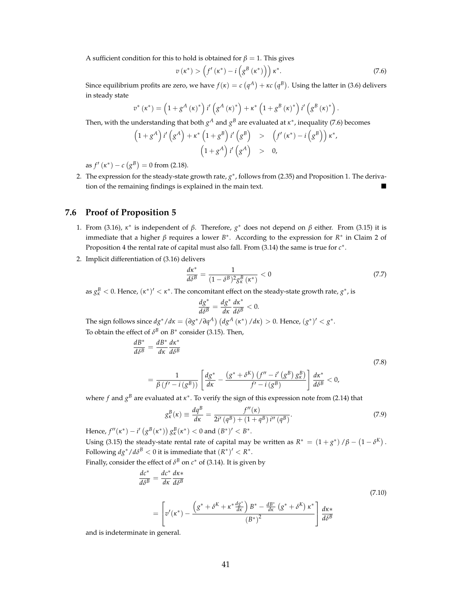A sufficient condition for this to hold is obtained for  $\beta = 1$ . This gives

$$
v\left(\kappa^*\right) > \left(f'\left(\kappa^*\right) - i\left(g^B\left(\kappa^*\right)\right)\right)\kappa^*.\tag{7.6}
$$

Since equilibrium profits are zero, we have  $f(\kappa) = c$   $(q^A) + \kappa c$   $(q^B)$ . Using the latter in (3.6) delivers in steady state

$$
v^{*}(\kappa^{*}) = \left(1 + g^{A}(\kappa)^{*}\right) i' \left(g^{A}(\kappa)^{*}\right) + \kappa^{*} \left(1 + g^{B}(\kappa)^{*}\right) i' \left(g^{B}(\kappa)^{*}\right).
$$

Then, with the understanding that both  $g^A$  and  $g^B$  are evaluated at  $\kappa^*$ , inequality (7.6) becomes

$$
(1+g^{A}) i' (g^{A}) + \kappa^{*} (1+g^{B}) i' (g^{B}) > (f'(\kappa^{*}) - i(g^{B})) \kappa^{*},
$$
  

$$
(1+g^{A}) i' (g^{A}) > 0,
$$

 $\text{as } f'(\kappa^*) - c(g^B) = 0 \text{ from (2.18)}.$ 

2. The expression for the steady-state growth rate,  $g^*$ , follows from (2.35) and Proposition 1. The derivation of the remaining findings is explained in the main text.

#### **7.6 Proof of Proposition 5**

- 1. From (3.16),  $κ^*$  is independent of  $β$ . Therefore,  $g^*$  does not depend on  $β$  either. From (3.15) it is immediate that a higher *β* requires a lower *B* ∗ . According to the expression for *R* ∗ in Claim 2 of Proposition 4 the rental rate of capital must also fall. From (3.14) the same is true for *c*<sup>\*</sup>.
- 2. Implicit differentiation of (3.16) delivers

$$
\frac{d\kappa^*}{d\delta^B} = \frac{1}{(1 - \delta^B)^2 g^B_{\kappa}(\kappa^*)} < 0 \tag{7.7}
$$

as  $g_{\kappa}^B < 0$ . Hence,  $(\kappa^*)' < \kappa^*$ . The concomitant effect on the steady-state growth rate,  $g^*$ , is

$$
\frac{dg^*}{d\delta^B} = \frac{dg^*}{d\kappa} \frac{d\kappa^*}{d\delta^B} < 0.
$$

The sign follows since  $dg^*/d\kappa = ( \partial g^*/ \partial q^A)~(dg^A(\kappa^*)$  /d $\kappa) > 0$ . Hence,  $(g^*)' < g^*.$ To obtain the effect of  $\delta^B$  on  $B^*$  consider (3.15). Then,

$$
\frac{dB^*}{d\delta^B} = \frac{dB^*}{d\kappa} \frac{d\kappa^*}{d\delta^B}
$$
(7.8)

$$
= \frac{1}{\beta\left(f'-i\left(g^B\right)\right)}\left[\frac{dg^*}{d\kappa}-\frac{\left(g^*+\delta^K\right)\left(f''-i'\left(g^B\right)g^B_{\kappa}\right)}{f'-i\left(g^B\right)}\right]\frac{d\kappa^*}{d\delta^B} < 0,
$$

where  $f$  and  $g^B$  are evaluated at  $\kappa^*$ . To verify the sign of this expression note from (2.14) that

$$
g_{\kappa}^{B}(\kappa) \equiv \frac{dq^{B}}{d\kappa} = \frac{f''(\kappa)}{2i'\left(q^{B}\right) + \left(1 + q^{B}\right)i''\left(q^{B}\right)}.
$$
\n(7.9)

Hence,  $f''(\kappa^*) - i' (g^B(\kappa^*)) g^B_{\kappa}(\kappa^*) < 0$  and  $(B^*)' < B^*$ .

Using (3.15) the steady-state rental rate of capital may be written as  $R^* = (1+g^*)/\beta - (1-\delta^K)$ . Following  $dg^* / d\delta^B < 0$  it is immediate that  $(R^*)' < R^*$ .

Finally, consider the effect of  $\delta^B$  on  $c^*$  of (3.14). It is given by

$$
\frac{dc^*}{d\delta^B} = \frac{dc^*}{d\kappa} \frac{d\kappa^*}{d\delta^B}
$$
\n
$$
= \left[ v'(\kappa^*) - \frac{\left(g^* + \delta^K + \kappa^* \frac{d g^*}{d\kappa}\right)B^* - \frac{d B^*}{d\kappa} \left(g^* + \delta^K\right) \kappa^*}{\left(B^*\right)^2} \right] \frac{d\kappa^*}{d\delta^B}
$$
\n(7.10)

and is indeterminate in general.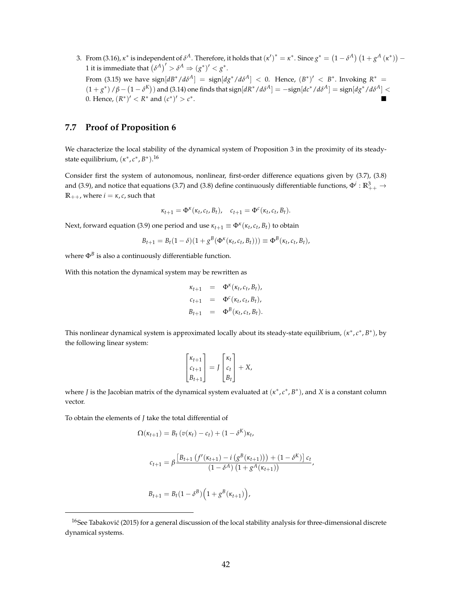3. From (3.16),  $\kappa^*$  is independent of  $\delta^A$ . Therefore, it holds that  $(\kappa')^* = \kappa^*$ . Since  $g^* = (1 - \delta^A) (1 + g^A(\kappa^*))$ 1 it is immediate that  $(\delta^A)' > \delta^A \Rightarrow (g^*)' < g^*$ . From (3.15) we have  $\text{sign}[dB^*/d\delta^A] = \text{sign}[dg^*/d\delta^A] < 0$ . Hence,  $(B^*)' < B^*$ . Invoking  $R^* =$  $(1+g^*)/ \beta - (1-\delta^K))$  and (3.14) one finds that sign $[dR^*/d\delta^A] = -sign[dc^*/d\delta^A] = sign[dg^*/d\delta^A] <$ 0. Hence,  $(R^*)' < R^*$  and  $(c^*)' > c^*$ . In the second control of the second control of the second control of the second control of the second control of

#### **7.7 Proof of Proposition 6**

We characterize the local stability of the dynamical system of Proposition 3 in the proximity of its steadystate equilibrium,  $(κ^*, c^*, B^*)$ .<sup>16</sup>

Consider first the system of autonomous, nonlinear, first-order difference equations given by (3.7), (3.8) and (3.9), and notice that equations (3.7) and (3.8) define continuously differentiable functions,  $\Phi^i:\mathbb{R}^3_{++}\to$  $\mathbb{R}_{++}$ , where  $i = \kappa$ , *c*, such that

$$
\kappa_{t+1} = \Phi^{\kappa}(\kappa_t, c_t, B_t), \quad c_{t+1} = \Phi^c(\kappa_t, c_t, B_t).
$$

Next, forward equation (3.9) one period and use  $\kappa_{t+1} \equiv \Phi^{\kappa}(\kappa_t, c_t, B_t)$  to obtain

$$
B_{t+1} = B_t (1 - \delta) (1 + g^B (\Phi^{\kappa}(\kappa_t, c_t, B_t))) \equiv \Phi^B(\kappa_t, c_t, B_t),
$$

where  $\Phi^B$  is also a continuously differentiable function.

With this notation the dynamical system may be rewritten as

$$
\begin{array}{rcl}\n\kappa_{t+1} & = & \Phi^{\kappa}(\kappa_t, c_t, B_t), \\
c_{t+1} & = & \Phi^c(\kappa_t, c_t, B_t), \\
B_{t+1} & = & \Phi^B(\kappa_t, c_t, B_t).\n\end{array}
$$

This nonlinear dynamical system is approximated locally about its steady-state equilibrium,  $(\kappa^*, c^*, B^*)$ , by the following linear system:

$$
\begin{bmatrix} \kappa_{t+1} \\ c_{t+1} \\ B_{t+1} \end{bmatrix} = J \begin{bmatrix} \kappa_t \\ c_t \\ B_t \end{bmatrix} + X,
$$

where *J* is the Jacobian matrix of the dynamical system evaluated at  $(\kappa^*, c^*, B^*)$ , and *X* is a constant column vector.

To obtain the elements of *J* take the total differential of

$$
\Omega(\kappa_{t+1}) = B_t \left( v(\kappa_t) - c_t \right) + (1 - \delta^K) \kappa_t,
$$

$$
c_{t+1} = \beta \frac{[B_{t+1} (f'(\kappa_{t+1}) - i (g^B(\kappa_{t+1}))) + (1 - \delta^K)] c_t}{(1 - \delta^A) (1 + g^A(\kappa_{t+1}))},
$$

$$
B_{t+1} = B_t (1 - \delta^B) (1 + g^B(\kappa_{t+1})),
$$

<sup>&</sup>lt;sup>16</sup>See Tabaković (2015) for a general discussion of the local stability analysis for three-dimensional discrete dynamical systems.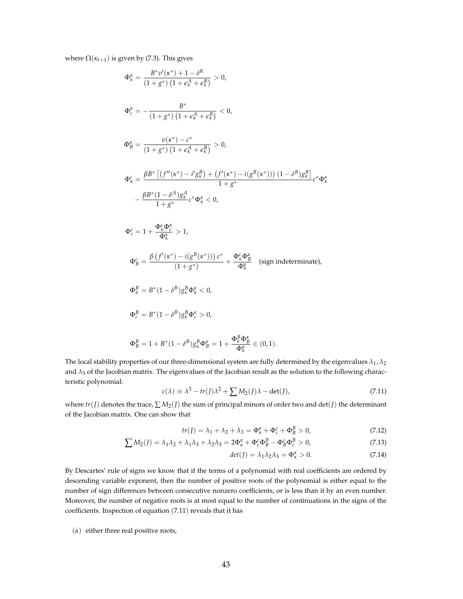where  $\Omega(\kappa_{t+1})$  is given by (7.3). This gives

$$
\Phi_{\kappa}^{\kappa} = \frac{B^* v'(k^*) + 1 - \delta^k}{(1 + g^*) (1 + \epsilon_{\kappa}^A + \epsilon_{\kappa}^B)} > 0,
$$
  
\n
$$
\Phi_{c}^{\kappa} = -\frac{B^*}{(1 + g^*) (1 + \epsilon_{\kappa}^A + \epsilon_{\kappa}^B)} < 0,
$$
  
\n
$$
\Phi_{B}^{\kappa} = \frac{v(k^*) - c^*}{(1 + g^*) (1 + \epsilon_{\kappa}^A + \epsilon_{\kappa}^B)} > 0,
$$
  
\n
$$
\Phi_{\kappa}^c = \frac{\beta B^* [(f''(k^*) - i'g_{\kappa}^B) + (f'(k^*) - i(g^B(k^*))) (1 - \delta^B)g_{\kappa}^B]}{1 + g^*} c^* \Phi_{\kappa}^{\kappa} < 0,
$$
  
\n
$$
\Phi_{c}^c = 1 + \frac{\Phi_{\kappa}^c \Phi_{c}^{\kappa}}{1 + g^*} c^* \Phi_{\kappa}^{\kappa} < 0,
$$
  
\n
$$
\Phi_{B}^c = \frac{\beta (f'(k^*) - i(g^B(k^*))) c^*}{(1 + g^*)} + \frac{\Phi_{\kappa}^c \Phi_{B}^{\kappa}}{\Phi_{\kappa}^{\kappa}} \quad \text{(sign indeterminate)},
$$
  
\n
$$
\Phi_{B}^B = B^* (1 - \delta^B) g_{\kappa}^B \Phi_{\kappa}^{\kappa} < 0,
$$
  
\n
$$
\Phi_{B}^B = B^* (1 - \delta^B) g_{\kappa}^B \Phi_{\kappa}^{\kappa} > 0,
$$
  
\n
$$
\Phi_{B}^B = 1 + B^* (1 - \delta^B) g_{\kappa}^B \Phi_{\kappa}^{\kappa} > 0,
$$

The local stability properties of our three-dimensional system are fully determined by the eigenvalues  $\lambda_1,\lambda_2$ and *λ*<sup>3</sup> of the Jacobian matrix. The eigenvalues of the Jacobian result as the solution to the following characteristic polynomial:

$$
c(\lambda) \equiv \lambda^3 - tr(J)\lambda^2 + \sum M_2(J)\lambda - \det(J), \tag{7.11}
$$

where  $tr(J)$  denotes the trace,  $\sum M_2(J)$  the sum of principal minors of order two and det(*J*) the determinant of the Jacobian matrix. One can show that

$$
tr(J) = \lambda_1 + \lambda_2 + \lambda_3 = \Phi_{\kappa}^{\kappa} + \Phi_{c}^{c} + \Phi_{B}^{B} > 0,
$$
\n(7.12)

$$
\sum M_2(J) = \lambda_1 \lambda_2 + \lambda_1 \lambda_3 + \lambda_2 \lambda_3 = 2\Phi_{\kappa}^{\kappa} + \Phi_c^c \Phi_B^B - \Phi_B^c \Phi_c^B > 0,
$$
\n(7.13)

$$
det(J) = \lambda_1 \lambda_2 \lambda_3 = \Phi_{\kappa}^{\kappa} > 0. \tag{7.14}
$$

By Descartes' rule of signs we know that if the terms of a polynomial with real coefficients are ordered by descending variable exponent, then the number of positive roots of the polynomial is either equal to the number of sign differences between consecutive nonzero coefficients, or is less than it by an even number. Moreover, the number of negative roots is at most equal to the number of continuations in the signs of the coefficients. Inspection of equation (7.11) reveals that it has

(*α*) either three real positive roots,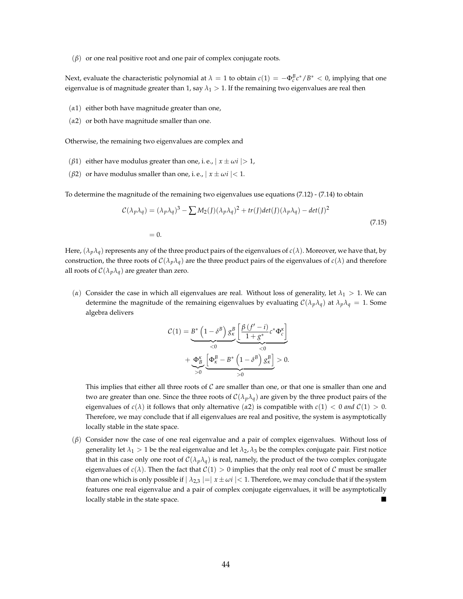(*β*) or one real positive root and one pair of complex conjugate roots.

Next, evaluate the characteristic polynomial at  $\lambda = 1$  to obtain  $c(1) = -\Phi_c^B c^* / B^* < 0$ , implying that one eigenvalue is of magnitude greater than 1, say  $\lambda_1 > 1$ . If the remaining two eigenvalues are real then

- (*α*1) either both have magnitude greater than one,
- (*α*2) or both have magnitude smaller than one.

Otherwise, the remaining two eigenvalues are complex and

- ( $\beta$ 1) either have modulus greater than one, i.e.,  $|x \pm \omega i| > 1$ ,
- ( $\beta$ 2) or have modulus smaller than one, i.e.,  $|x \pm \omega i| < 1$ .

To determine the magnitude of the remaining two eigenvalues use equations (7.12) - (7.14) to obtain

$$
\mathcal{C}(\lambda_p \lambda_q) = (\lambda_p \lambda_q)^3 - \sum M_2(J) (\lambda_p \lambda_q)^2 + tr(J) det(J) (\lambda_p \lambda_q) - det(J)^2
$$
  
= 0. (7.15)

Here,  $(\lambda_p \lambda_q)$  represents any of the three product pairs of the eigenvalues of  $c(\lambda)$ . Moreover, we have that, by construction, the three roots of  $C(\lambda_p \lambda_q)$  are the three product pairs of the eigenvalues of  $c(\lambda)$  and therefore all roots of  $\mathcal{C}(\lambda_p \lambda_q)$  are greater than zero.

(*α*) Consider the case in which all eigenvalues are real. Without loss of generality, let *λ*<sup>1</sup> > 1. We can determine the magnitude of the remaining eigenvalues by evaluating  $C(\lambda_p \lambda_q)$  at  $\lambda_p \lambda_q = 1$ . Some algebra delivers

$$
\mathcal{C}(1) = \underbrace{B^* \left(1 - \delta^B\right) g_K^B}_{< 0} \underbrace{\left[\frac{\beta \left(f' - i\right)}{1 + g^*} c^* \Phi_c^{\kappa}\right]}_{< 0} + \underbrace{\Phi_B^{\kappa}}_{> 0} \underbrace{\left[\Phi_{\kappa}^B - B^* \left(1 - \delta^B\right) g_{\kappa}^B\right]}_{> 0} > 0.
$$

This implies that either all three roots of  $C$  are smaller than one, or that one is smaller than one and two are greater than one. Since the three roots of  $C(\lambda_p \lambda_q)$  are given by the three product pairs of the eigenvalues of  $c(\lambda)$  it follows that only alternative ( $\alpha$ 2) is compatible with  $c(1) < 0$  and  $C(1) > 0$ . Therefore, we may conclude that if all eigenvalues are real and positive, the system is asymptotically locally stable in the state space.

(*β*) Consider now the case of one real eigenvalue and a pair of complex eigenvalues. Without loss of generality let  $\lambda_1 > 1$  be the real eigenvalue and let  $\lambda_2$ ,  $\lambda_3$  be the complex conjugate pair. First notice that in this case only one root of  $C(\lambda_p \lambda_q)$  is real, namely, the product of the two complex conjugate eigenvalues of  $c(\lambda)$ . Then the fact that  $C(1) > 0$  implies that the only real root of C must be smaller than one which is only possible if  $|\lambda_{2,3}| = |x \pm \omega i| < 1$ . Therefore, we may conclude that if the system features one real eigenvalue and a pair of complex conjugate eigenvalues, it will be asymptotically locally stable in the state space.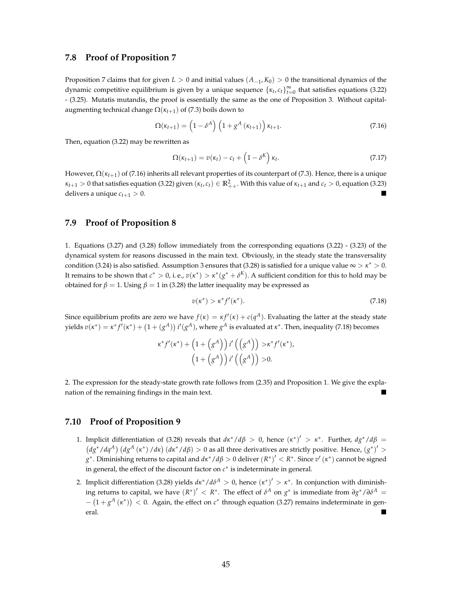#### **7.8 Proof of Proposition 7**

Proposition 7 claims that for given *L* > 0 and initial values (*A*−<sup>1</sup> , *K*0) > 0 the transitional dynamics of the dynamic competitive equilibrium is given by a unique sequence  $\{\kappa_t, c_t\}_{t=0}^{\infty}$  that satisfies equations (3.22) - (3.25). Mutatis mutandis, the proof is essentially the same as the one of Proposition 3. Without capitalaugmenting technical change  $\Omega(\kappa_{t+1})$  of (7.3) boils down to

$$
\Omega(\kappa_{t+1}) = \left(1 - \delta^A\right) \left(1 + g^A\left(\kappa_{t+1}\right)\right) \kappa_{t+1}.\tag{7.16}
$$

Then, equation (3.22) may be rewritten as

$$
\Omega(\kappa_{t+1}) = v(\kappa_t) - c_t + \left(1 - \delta^K\right) \kappa_t. \tag{7.17}
$$

However,  $\Omega(\kappa_{t+1})$  of (7.16) inherits all relevant properties of its counterpart of (7.3). Hence, there is a unique  $\kappa_{t+1}>0$  that satisfies equation (3.22) given  $(\kappa_t,c_t)\in\mathbb{R}^2_{++}.$  With this value of  $\kappa_{t+1}$  and  $c_t>0$ , equation (3.23) delivers a unique  $c_{t+1} > 0$ .

#### **7.9 Proof of Proposition 8**

1. Equations (3.27) and (3.28) follow immediately from the corresponding equations (3.22) - (3.23) of the dynamical system for reasons discussed in the main text. Obviously, in the steady state the transversality condition (3.24) is also satisfied. Assumption 3 ensures that (3.28) is satisfied for a unique value  $\infty > \kappa^* > 0$ . It remains to be shown that  $c^*>0$ , i.e.,  $v(\kappa^*)>\kappa^*(g^*+\delta^K)$ . A sufficient condition for this to hold may be obtained for  $β = 1$ . Using  $β = 1$  in (3.28) the latter inequality may be expressed as

$$
v(\kappa^*) > \kappa^* f'(\kappa^*). \tag{7.18}
$$

Since equilibrium profits are zero we have  $f(x) = \kappa f'(x) + c(q^A)$ . Evaluating the latter at the steady state yields  $v(\kappa^*) = \kappa^* f'(\kappa^*) + (1 + (g^A)) i'(g^A)$ , where  $g^A$  is evaluated at  $\kappa^*$ . Then, inequality (7.18) becomes

$$
\kappa^* f'(\kappa^*) + \left(1 + \left(g^A\right)\right) i'\left(\left(g^A\right)\right) > \kappa^* f'(\kappa^*),
$$
\n
$$
\left(1 + \left(g^A\right)\right) i'\left(\left(g^A\right)\right) > 0.
$$

2. The expression for the steady-state growth rate follows from (2.35) and Proposition 1. We give the explanation of the remaining findings in the main text.

#### **7.10 Proof of Proposition 9**

- 1. Implicit differentiation of (3.28) reveals that  $d\kappa^*/d\beta > 0$ , hence  $(\kappa^*)' > \kappa^*$ . Further,  $dg^*/d\beta =$  $(dg^*/dq^A)$   $(dg^A(\kappa^*)/d\kappa)$   $(d\kappa^*/d\beta) > 0$  as all three derivatives are strictly positive. Hence,  $(g^*)' > 0$  $g^*$ . Diminishing returns to capital and  $dκ^*/dβ > 0$  deliver  $(R^*)' < R^*$ . Since  $v'$  ( $κ^*$ ) cannot be signed in general, the effect of the discount factor on  $c^*$  is indeterminate in general.
- 2. Implicit differentiation (3.28) yields  $d\kappa^*/d\delta^A > 0$ , hence  $(\kappa^*)' > \kappa^*$ . In conjunction with diminishing returns to capital, we have  $(R^*)' < R^*$ . The effect of  $\delta^A$  on  $g^*$  is immediate from  $\partial g^*/\partial \delta^A =$  $-(1+g^A(\kappa^*))$  < 0. Again, the effect on  $c^*$  through equation (3.27) remains indeterminate in general.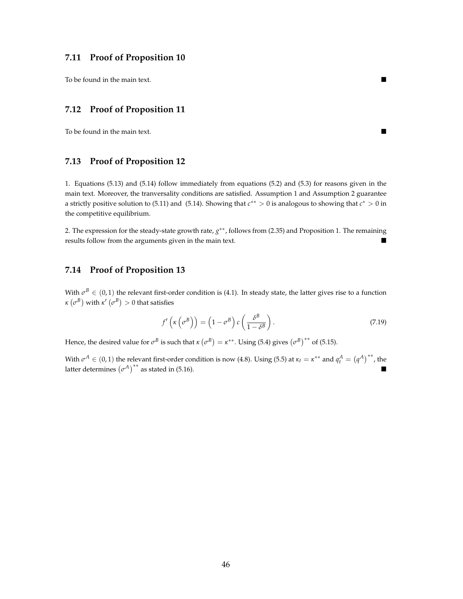#### **7.11 Proof of Proposition 10**

To be found in the main text.

#### **7.12 Proof of Proposition 11**

To be found in the main text.

#### **7.13 Proof of Proposition 12**

1. Equations (5.13) and (5.14) follow immediately from equations (5.2) and (5.3) for reasons given in the main text. Moreover, the tranversality conditions are satisfied. Assumption 1 and Assumption 2 guarantee a strictly positive solution to (5.11) and (5.14). Showing that  $c^{**} > 0$  is analogous to showing that  $c^* > 0$  in the competitive equilibrium.

2. The expression for the steady-state growth rate, *g* ∗∗, follows from (2.35) and Proposition 1. The remaining results follow from the arguments given in the main text.

#### **7.14 Proof of Proposition 13**

With  $\sigma^B \in (0,1)$  the relevant first-order condition is (4.1). In steady state, the latter gives rise to a function *κ* ( $\sigma^B$ ) with *κ'* ( $\sigma^B$ ) > 0 that satisfies

$$
f'\left(\kappa\left(\sigma^B\right)\right) = \left(1 - \sigma^B\right)c\left(\frac{\delta^B}{1 - \delta^B}\right). \tag{7.19}
$$

Hence, the desired value for  $\sigma^B$  is such that  $\kappa(\sigma^B) = \kappa^{**}$ . Using (5.4) gives  $(\sigma^B)^{**}$  of (5.15).

With  $\sigma^A \in (0,1)$  the relevant first-order condition is now (4.8). Using (5.5) at  $\kappa_t = \kappa^{**}$  and  $q_t^A = (q^A)^{**}$ , the latter determines  $(\sigma^A)^{**}$  as stated in (5.16).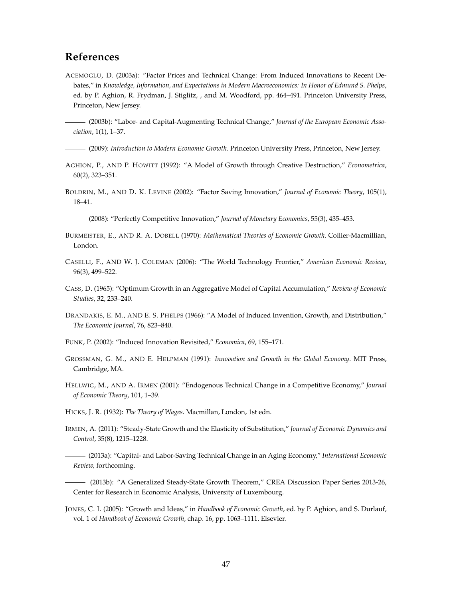## **References**

- ACEMOGLU, D. (2003a): "Factor Prices and Technical Change: From Induced Innovations to Recent Debates," in *Knowledge, Information, and Expectations in Modern Macroeconomics: In Honor of Edmund S. Phelps*, ed. by P. Aghion, R. Frydman, J. Stiglitz, , and M. Woodford, pp. 464–491. Princeton University Press, Princeton, New Jersey.
- (2003b): "Labor- and Capital-Augmenting Technical Change," *Journal of the European Economic Association*, 1(1), 1–37.

(2009): *Introduction to Modern Economic Growth*. Princeton University Press, Princeton, New Jersey.

- AGHION, P., AND P. HOWITT (1992): "A Model of Growth through Creative Destruction," *Econometrica*, 60(2), 323–351.
- BOLDRIN, M., AND D. K. LEVINE (2002): "Factor Saving Innovation," *Journal of Economic Theory*, 105(1), 18–41.

(2008): "Perfectly Competitive Innovation," *Journal of Monetary Economics*, 55(3), 435–453.

- BURMEISTER, E., AND R. A. DOBELL (1970): *Mathematical Theories of Economic Growth*. Collier-Macmillian, London.
- CASELLI, F., AND W. J. COLEMAN (2006): "The World Technology Frontier," *American Economic Review*, 96(3), 499–522.
- CASS, D. (1965): "Optimum Growth in an Aggregative Model of Capital Accumulation," *Review of Economic Studies*, 32, 233–240.
- DRANDAKIS, E. M., AND E. S. PHELPS (1966): "A Model of Induced Invention, Growth, and Distribution," *The Economic Journal*, 76, 823–840.
- FUNK, P. (2002): "Induced Innovation Revisited," *Economica*, 69, 155–171.
- GROSSMAN, G. M., AND E. HELPMAN (1991): *Innovation and Growth in the Global Economy*. MIT Press, Cambridge, MA.
- HELLWIG, M., AND A. IRMEN (2001): "Endogenous Technical Change in a Competitive Economy," *Journal of Economic Theory*, 101, 1–39.
- HICKS, J. R. (1932): *The Theory of Wages*. Macmillan, London, 1st edn.
- IRMEN, A. (2011): "Steady-State Growth and the Elasticity of Substitution," *Journal of Economic Dynamics and Control*, 35(8), 1215–1228.
- (2013a): "Capital- and Labor-Saving Technical Change in an Aging Economy," *International Economic Review,* forthcoming.
- (2013b): "A Generalized Steady-State Growth Theorem," CREA Discussion Paper Series 2013-26, Center for Research in Economic Analysis, University of Luxembourg.
- JONES, C. I. (2005): "Growth and Ideas," in *Handbook of Economic Growth*, ed. by P. Aghion, and S. Durlauf, vol. 1 of *Handbook of Economic Growth*, chap. 16, pp. 1063–1111. Elsevier.